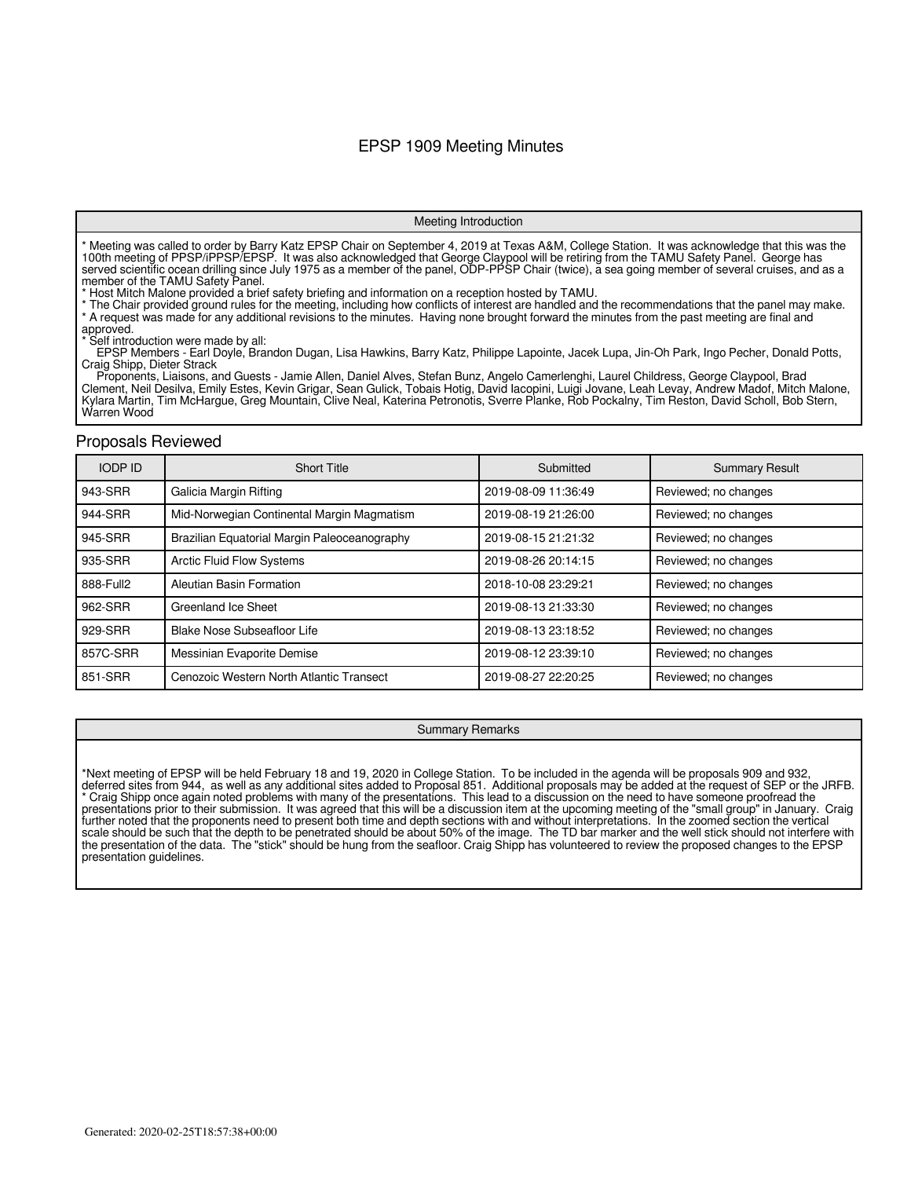### EPSP 1909 Meeting Minutes

#### Meeting Introduction

\* Meeting was called to order by Barry Katz EPSP Chair on September 4, 2019 at Texas A&M, College Station. It was acknowledge that this was the 100th meeting of PPSP/iPPSP/EPSP. It was also acknowledged that George Claypool will be retiring from the TAMU Safety Panel. George has served scientific ocean drilling since July 1975 as a member of the panel, ODP-PPSP Chair (twice), a sea going member of several cruises, and as a member of the TAMU Safety Panel.

\* Host Mitch Malone provided a brief safety briefing and information on a reception hosted by TAMU.

\* The Chair provided ground rules for the meeting, including how conflicts of interest are handled and the recommendations that the panel may make. \* A request was made for any additional revisions to the minutes. Having none brought forward the minutes from the past meeting are final and

approved.

Self introduction were made by all:

 EPSP Members - Earl Doyle, Brandon Dugan, Lisa Hawkins, Barry Katz, Philippe Lapointe, Jacek Lupa, Jin-Oh Park, Ingo Pecher, Donald Potts, Craig Shipp, Dieter Strack

 Proponents, Liaisons, and Guests - Jamie Allen, Daniel Alves, Stefan Bunz, Angelo Camerlenghi, Laurel Childress, George Claypool, Brad Clement, Neil Desilva, Emily Estes, Kevin Grigar, Sean Gulick, Tobais Hotig, David Iacopini, Luigi Jovane, Leah Levay, Andrew Madof, Mitch Malone, Kylara Martin, Tim McHargue, Greg Mountain, Clive Neal, Katerina Petronotis, Sverre Planke, Rob Pockalny, Tim Reston, David Scholl, Bob Stern, Warren Wood

#### Proposals Reviewed

| <b>IODP ID</b> | <b>Short Title</b>                           | Submitted           | <b>Summary Result</b> |
|----------------|----------------------------------------------|---------------------|-----------------------|
| 943-SRR        | Galicia Margin Rifting                       | 2019-08-09 11:36:49 | Reviewed; no changes  |
| 944-SRR        | Mid-Norwegian Continental Margin Magmatism   | 2019-08-19 21:26:00 | Reviewed; no changes  |
| 945-SRR        | Brazilian Equatorial Margin Paleoceanography | 2019-08-15 21:21:32 | Reviewed; no changes  |
| 935-SRR        | <b>Arctic Fluid Flow Systems</b>             | 2019-08-26 20:14:15 | Reviewed; no changes  |
| 888-Full2      | Aleutian Basin Formation                     | 2018-10-08 23:29:21 | Reviewed; no changes  |
| 962-SRR        | Greenland Ice Sheet                          | 2019-08-13 21:33:30 | Reviewed; no changes  |
| 929-SRR        | Blake Nose Subseafloor Life                  | 2019-08-13 23:18:52 | Reviewed; no changes  |
| 857C-SRR       | Messinian Evaporite Demise                   | 2019-08-12 23:39:10 | Reviewed; no changes  |
| 851-SRR        | Cenozoic Western North Atlantic Transect     | 2019-08-27 22:20:25 | Reviewed; no changes  |

#### Summary Remarks

\*Next meeting of EPSP will be held February 18 and 19, 2020 in College Station. To be included in the agenda will be proposals 909 and 932, deferred sites from 944, as well as any additional sites added to Proposal 851. Additional proposals may be added at the request of SEP or the JRFB. \* Craig Shipp once again noted problems with many of the presentations. This lead to a discussion on the need to have someone proofread the presentations prior to their submission. It was agreed that this will be a discussion item at the upcoming meeting of the "small group" in January. Craig further noted that the proponents need to present both time and depth sections with and without interpretations. In the zoomed section the vertical scale should be such that the depth to be penetrated should be about 50% of the image. The TD bar marker and the well stick should not interfere with the presentation of the data. The "stick" should be hung from the seafloor. Craig Shipp has volunteered to review the proposed changes to the EPSP presentation guidelines.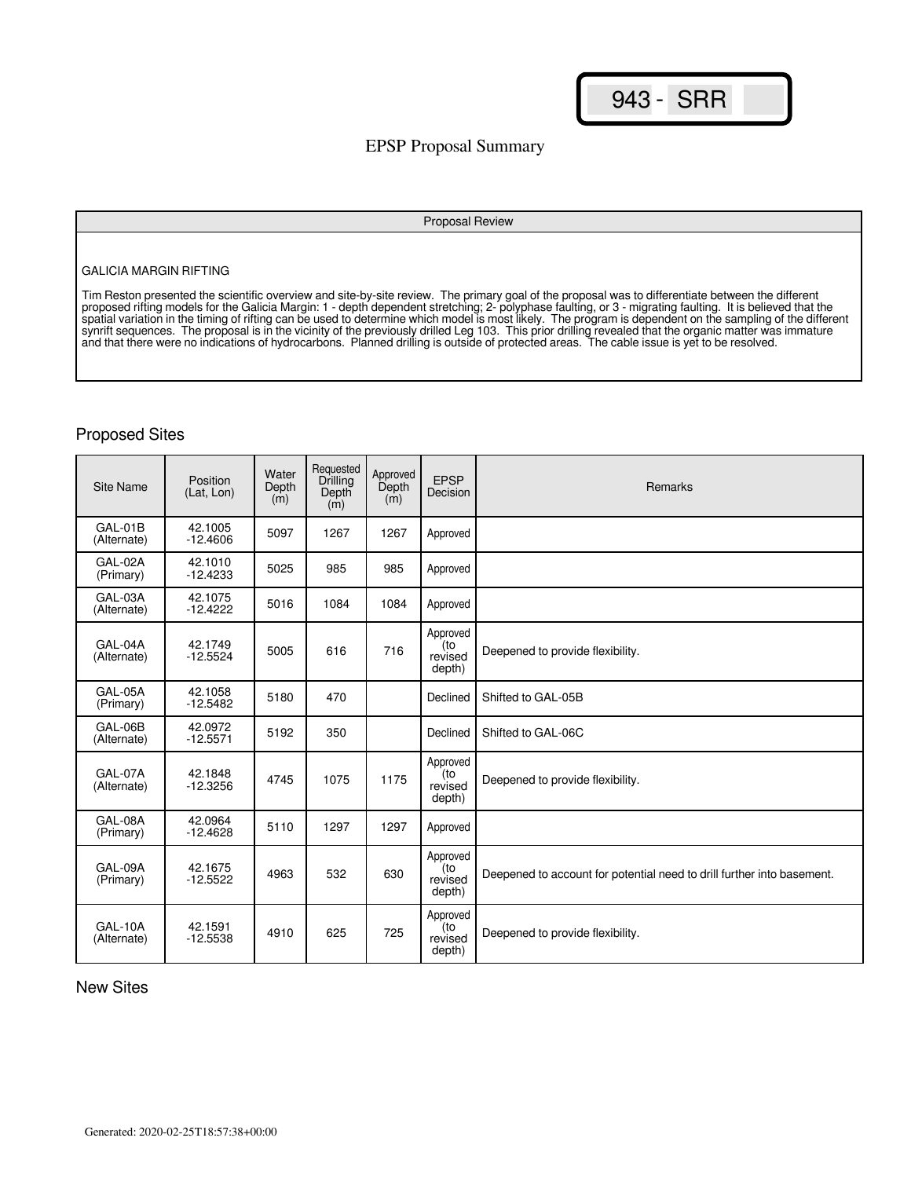## EPSP Proposal Summary

#### Proposal Review

#### GALICIA MARGIN RIFTING

Tim Reston presented the scientific overview and site-by-site review. The primary goal of the proposal was to differentiate between the different proposed rifting models for the Galicia Margin: 1 - depth dependent stretching; 2- polyphase faulting, or 3 - migrating faulting. It is believed that the spatial variation in the timing of rifting can be used to determine which model is most likely. The program is dependent on the sampling of the different synrift sequences. The proposal is in the vicinity of the previously drilled Leg 103. This prior drilling revealed that the organic matter was immature and that there were no indications of hydrocarbons. Planned drilling is outside of protected areas. The cable issue is yet to be resolved.

### Proposed Sites

| Site Name              | Position<br>(Lat, Lon) | Water<br>Depth<br>(m) | Requested<br>Drilling<br>Depth<br>(m) | Approved<br>Depth<br>(m) | <b>EPSP</b><br>Decision              | Remarks                                                                |
|------------------------|------------------------|-----------------------|---------------------------------------|--------------------------|--------------------------------------|------------------------------------------------------------------------|
| GAL-01B<br>(Alternate) | 42.1005<br>$-12.4606$  | 5097                  | 1267                                  | 1267                     | Approved                             |                                                                        |
| GAL-02A<br>(Primary)   | 42.1010<br>$-12.4233$  | 5025                  | 985                                   | 985                      | Approved                             |                                                                        |
| GAL-03A<br>(Alternate) | 42.1075<br>$-12.4222$  | 5016                  | 1084                                  | 1084                     | Approved                             |                                                                        |
| GAL-04A<br>(Alternate) | 42.1749<br>$-12.5524$  | 5005                  | 616                                   | 716                      | Approved<br>(to<br>revised<br>depth) | Deepened to provide flexibility.                                       |
| GAL-05A<br>(Primary)   | 42.1058<br>$-12.5482$  | 5180                  | 470                                   |                          | Declined                             | Shifted to GAL-05B                                                     |
| GAL-06B<br>(Alternate) | 42.0972<br>$-12.5571$  | 5192                  | 350                                   |                          | Declined                             | Shifted to GAL-06C                                                     |
| GAL-07A<br>(Alternate) | 42.1848<br>$-12.3256$  | 4745                  | 1075                                  | 1175                     | Approved<br>(to<br>revised<br>depth) | Deepened to provide flexibility.                                       |
| GAL-08A<br>(Primary)   | 42.0964<br>$-12.4628$  | 5110                  | 1297                                  | 1297                     | Approved                             |                                                                        |
| GAL-09A<br>(Primary)   | 42.1675<br>$-12.5522$  | 4963                  | 532                                   | 630                      | Approved<br>(to<br>revised<br>depth) | Deepened to account for potential need to drill further into basement. |
| GAL-10A<br>(Alternate) | 42.1591<br>$-12.5538$  | 4910                  | 625                                   | 725                      | Approved<br>(to<br>revised<br>depth) | Deepened to provide flexibility.                                       |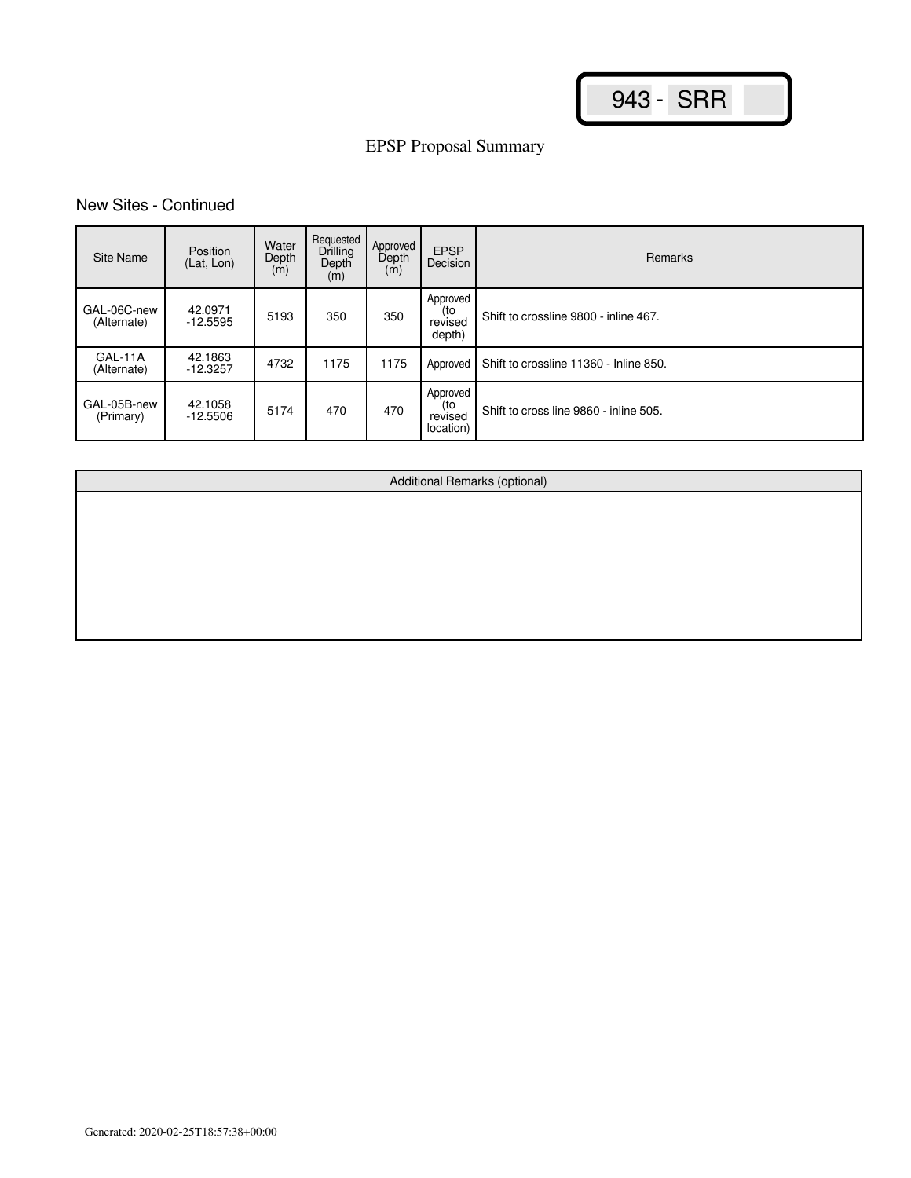## New Sites - Continued

| Site Name                  | Position<br>(Lat, Lon) | Water<br>Depth<br>(m) | Requested<br><b>Drilling</b><br>Depth<br>(m) | Approved<br>Depth<br>(m) | <b>EPSP</b><br>Decision                 | Remarks                                |
|----------------------------|------------------------|-----------------------|----------------------------------------------|--------------------------|-----------------------------------------|----------------------------------------|
| GAL-06C-new<br>(Alternate) | 42.0971<br>$-12.5595$  | 5193                  | 350                                          | 350                      | Approved<br>(to<br>revised<br>depth)    | Shift to crossline 9800 - inline 467.  |
| GAL-11A<br>(Alternate)     | 42.1863<br>$-12.3257$  | 4732                  | 1175                                         | 1175                     | Approved                                | Shift to crossline 11360 - Inline 850. |
| GAL-05B-new<br>(Primary)   | 42.1058<br>$-12.5506$  | 5174                  | 470                                          | 470                      | Approved<br>(to<br>revised<br>location) | Shift to cross line 9860 - inline 505. |

Additional Remarks (optional)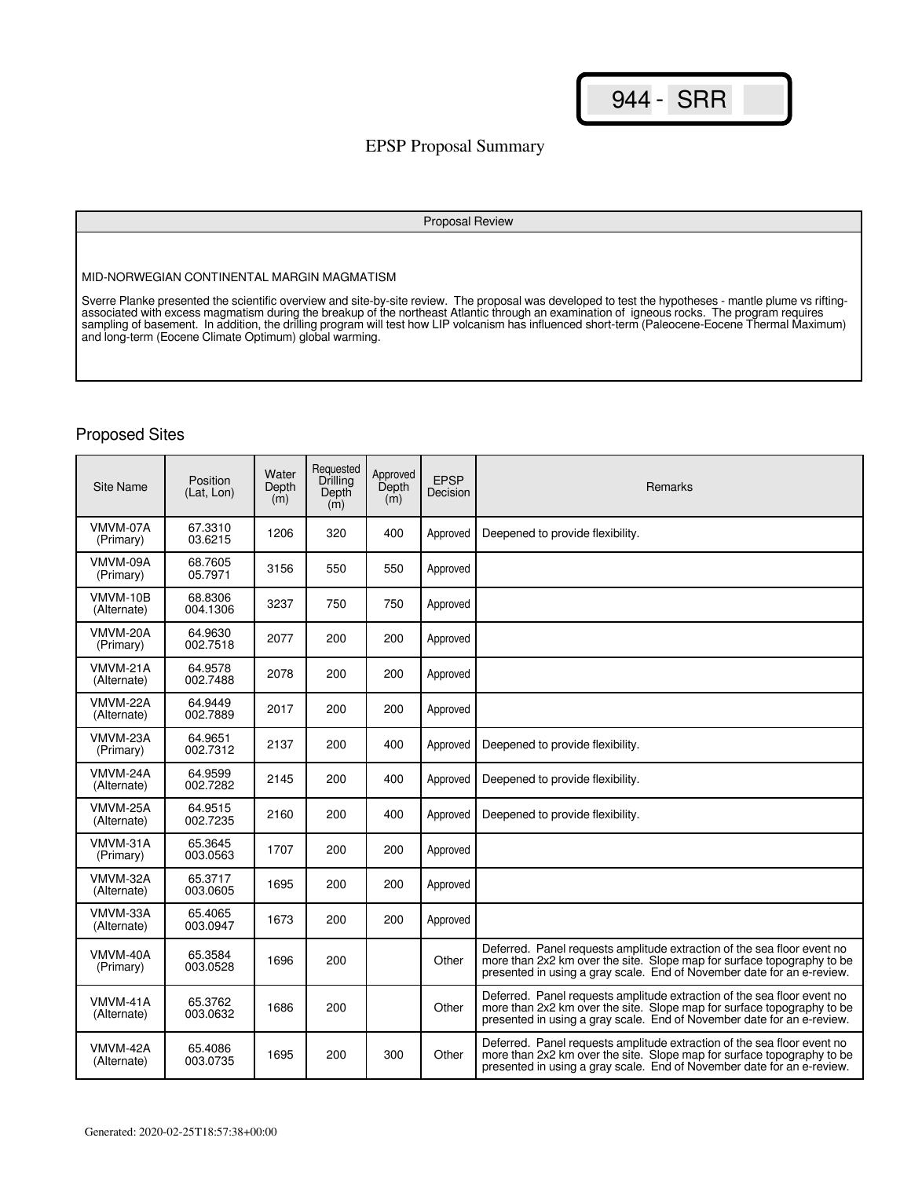## EPSP Proposal Summary

#### Proposal Review

MID-NORWEGIAN CONTINENTAL MARGIN MAGMATISM

Sverre Planke presented the scientific overview and site-by-site review. The proposal was developed to test the hypotheses - mantle plume vs riftingassociated with excess magmatism during the breakup of the northeast Atlantic through an examination of igneous rocks. The program requires sampling of basement. In addition, the drilling program will test how LIP volcanism has influenced short-term (Paleocene-Eocene Thermal Maximum) and long-term (Eocene Climate Optimum) global warming.

| Site Name               | <b>Position</b><br>(Lat, Lon) | Water<br>Depth<br>(m) | Requested<br>Drilling<br>Depth<br>(m) | Approved<br>Depth<br>(m) | <b>EPSP</b><br>Decision | Remarks                                                                                                                                                                                                                     |
|-------------------------|-------------------------------|-----------------------|---------------------------------------|--------------------------|-------------------------|-----------------------------------------------------------------------------------------------------------------------------------------------------------------------------------------------------------------------------|
| VMVM-07A<br>(Primary)   | 67.3310<br>03.6215            | 1206                  | 320                                   | 400                      | Approved                | Deepened to provide flexibility.                                                                                                                                                                                            |
| VMVM-09A<br>(Primary)   | 68.7605<br>05.7971            | 3156                  | 550                                   | 550                      | Approved                |                                                                                                                                                                                                                             |
| VMVM-10B<br>(Alternate) | 68.8306<br>004.1306           | 3237                  | 750                                   | 750                      | Approved                |                                                                                                                                                                                                                             |
| VMVM-20A<br>(Primary)   | 64.9630<br>002.7518           | 2077                  | 200                                   | 200                      | Approved                |                                                                                                                                                                                                                             |
| VMVM-21A<br>(Alternate) | 64.9578<br>002.7488           | 2078                  | 200                                   | 200                      | Approved                |                                                                                                                                                                                                                             |
| VMVM-22A<br>(Alternate) | 64.9449<br>002.7889           | 2017                  | 200                                   | 200                      | Approved                |                                                                                                                                                                                                                             |
| VMVM-23A<br>(Primary)   | 64.9651<br>002.7312           | 2137                  | 200                                   | 400                      | Approved                | Deepened to provide flexibility.                                                                                                                                                                                            |
| VMVM-24A<br>(Alternate) | 64.9599<br>002.7282           | 2145                  | 200                                   | 400                      | Approved                | Deepened to provide flexibility.                                                                                                                                                                                            |
| VMVM-25A<br>(Alternate) | 64.9515<br>002.7235           | 2160                  | 200                                   | 400                      | Approved                | Deepened to provide flexibility.                                                                                                                                                                                            |
| VMVM-31A<br>(Primary)   | 65.3645<br>003.0563           | 1707                  | 200                                   | 200                      | Approved                |                                                                                                                                                                                                                             |
| VMVM-32A<br>(Alternate) | 65.3717<br>003.0605           | 1695                  | 200                                   | 200                      | Approved                |                                                                                                                                                                                                                             |
| VMVM-33A<br>(Alternate) | 65.4065<br>003.0947           | 1673                  | 200                                   | 200                      | Approved                |                                                                                                                                                                                                                             |
| VMVM-40A<br>(Primary)   | 65.3584<br>003.0528           | 1696                  | 200                                   |                          | Other                   | Deferred. Panel requests amplitude extraction of the sea floor event no<br>more than 2x2 km over the site. Slope map for surface topography to be<br>presented in using a gray scale. End of November date for an e-review. |
| VMVM-41A<br>(Alternate) | 65.3762<br>003.0632           | 1686                  | 200                                   |                          | Other                   | Deferred. Panel requests amplitude extraction of the sea floor event no<br>more than 2x2 km over the site. Slope map for surface topography to be<br>presented in using a gray scale. End of November date for an e-review. |
| VMVM-42A<br>(Alternate) | 65.4086<br>003.0735           | 1695                  | 200                                   | 300                      | Other                   | Deferred. Panel requests amplitude extraction of the sea floor event no<br>more than 2x2 km over the site. Slope map for surface topography to be<br>presented in using a gray scale. End of November date for an e-review. |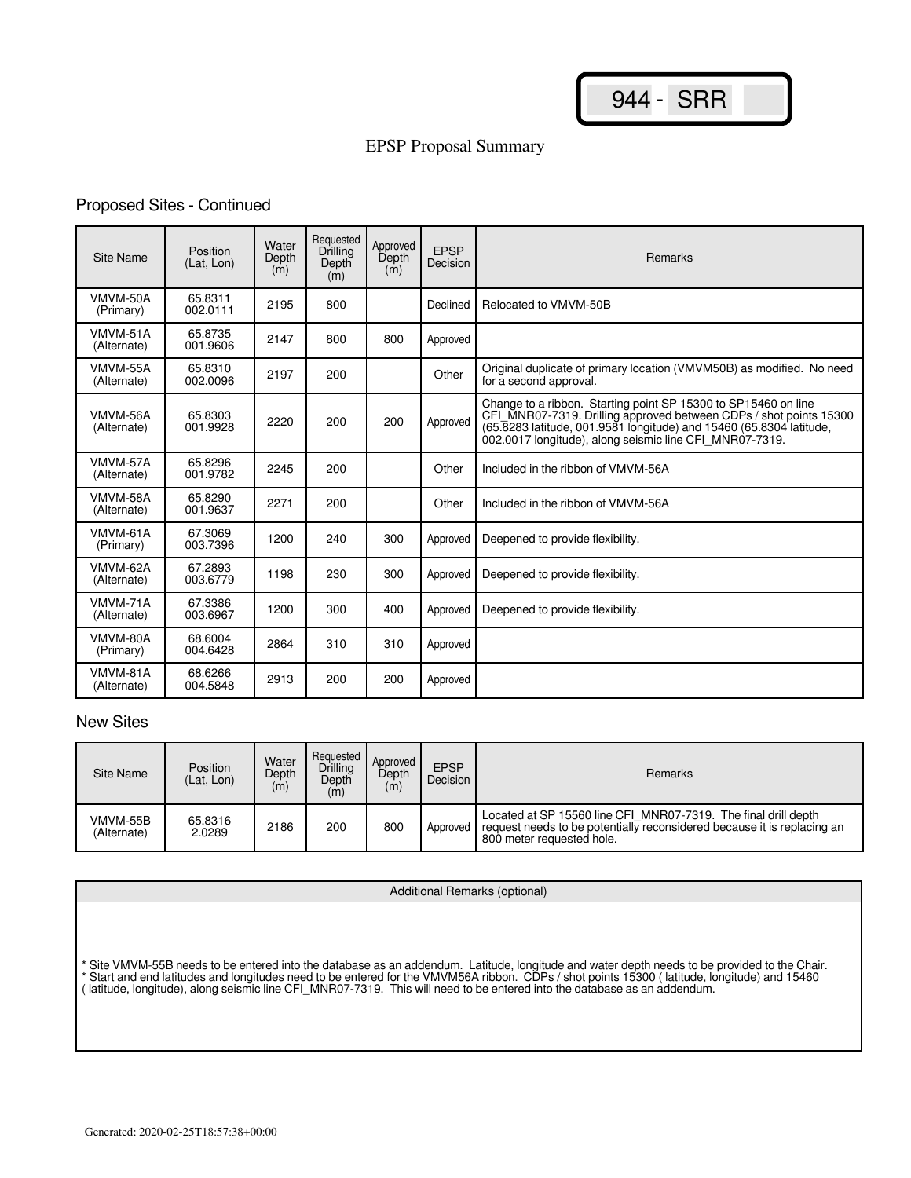# Proposed Sites - Continued

| Site Name               | Position<br>(Lat, Lon) | Water<br>Depth<br>(m) | Requested<br>Drilling<br>Depth<br>(m) | Approved<br>Depth<br>(m) | <b>EPSP</b><br>Decision | <b>Remarks</b>                                                                                                                                                                                                                                                         |
|-------------------------|------------------------|-----------------------|---------------------------------------|--------------------------|-------------------------|------------------------------------------------------------------------------------------------------------------------------------------------------------------------------------------------------------------------------------------------------------------------|
| VMVM-50A<br>(Primary)   | 65.8311<br>002.0111    | 2195                  | 800                                   |                          | Declined                | Relocated to VMVM-50B                                                                                                                                                                                                                                                  |
| VMVM-51A<br>(Alternate) | 65.8735<br>001.9606    | 2147                  | 800                                   | 800                      | Approved                |                                                                                                                                                                                                                                                                        |
| VMVM-55A<br>(Alternate) | 65.8310<br>002.0096    | 2197                  | 200                                   |                          | Other                   | Original duplicate of primary location (VMVM50B) as modified. No need<br>for a second approval.                                                                                                                                                                        |
| VMVM-56A<br>(Alternate) | 65.8303<br>001.9928    | 2220                  | 200                                   | 200                      | Approved                | Change to a ribbon. Starting point SP 15300 to SP15460 on line<br>CFI_MNR07-7319. Drilling approved between CDPs / shot points 15300<br>(65.8283 latitude, 001.9581 longitude) and 15460 (65.8304 latitude,<br>002.0017 longitude), along seismic line CFI MNR07-7319. |
| VMVM-57A<br>(Alternate) | 65.8296<br>001.9782    | 2245                  | 200                                   |                          | Other                   | Included in the ribbon of VMVM-56A                                                                                                                                                                                                                                     |
| VMVM-58A<br>(Alternate) | 65.8290<br>001.9637    | 2271                  | 200                                   |                          | Other                   | Included in the ribbon of VMVM-56A                                                                                                                                                                                                                                     |
| VMVM-61A<br>(Primary)   | 67.3069<br>003.7396    | 1200                  | 240                                   | 300                      | Approved                | Deepened to provide flexibility.                                                                                                                                                                                                                                       |
| VMVM-62A<br>(Alternate) | 67.2893<br>003.6779    | 1198                  | 230                                   | 300                      | Approved                | Deepened to provide flexibility.                                                                                                                                                                                                                                       |
| VMVM-71A<br>(Alternate) | 67.3386<br>003.6967    | 1200                  | 300                                   | 400                      | Approved                | Deepened to provide flexibility.                                                                                                                                                                                                                                       |
| VMVM-80A<br>(Primary)   | 68.6004<br>004.6428    | 2864                  | 310                                   | 310                      | Approved                |                                                                                                                                                                                                                                                                        |
| VMVM-81A<br>(Alternate) | 68.6266<br>004.5848    | 2913                  | 200                                   | 200                      | Approved                |                                                                                                                                                                                                                                                                        |

| Site Name               | <b>Position</b><br>(Lat, Lon) | Water<br>Depth<br>(m) | Requested<br>Drilling<br>Depth<br>(m) | Approved<br>Depth<br>(m) | <b>EPSP</b><br>Decision | Remarks                                                                                                                                                                |
|-------------------------|-------------------------------|-----------------------|---------------------------------------|--------------------------|-------------------------|------------------------------------------------------------------------------------------------------------------------------------------------------------------------|
| VMVM-55B<br>(Alternate) | 65.8316<br>2.0289             | 2186                  | 200                                   | 800                      | Approved                | Located at SP 15560 line CFI MNR07-7319. The final drill depth<br>request needs to be potentially reconsidered because it is replacing an<br>800 meter requested hole. |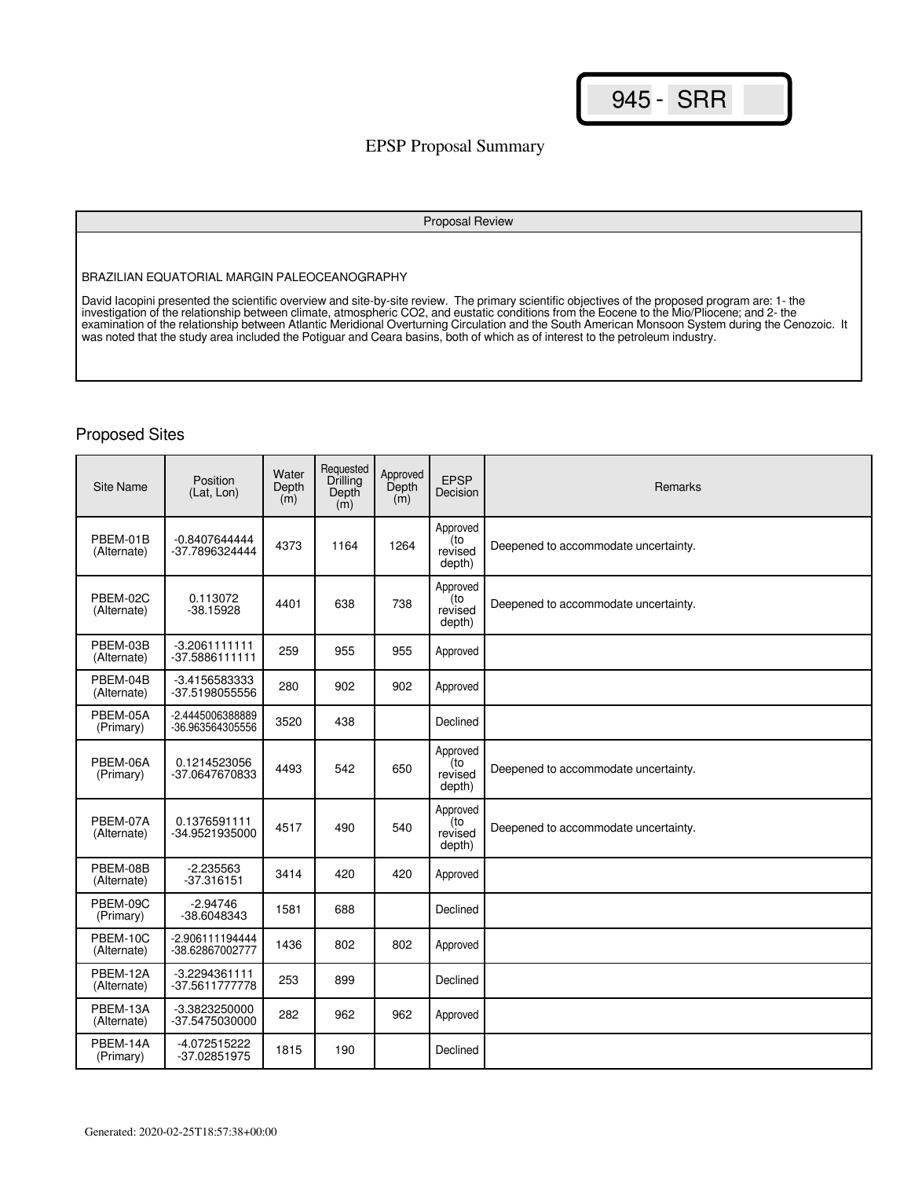## EPSP Proposal Summary

#### Proposal Review

BRAZILIAN EQUATORIAL MARGIN PALEOCEANOGRAPHY

David Iacopini presented the scientific overview and site-by-site review. The primary scientific objectives of the proposed program are: 1- the investigation of the relationship between climate, atmospheric CO2, and eustatic conditions from the Eocene to the Mio/Pliocene; and 2- the examination of the relationship between Atlantic Meridional Overturning Circulation and the South American Monsoon System during the Cenozoic. It was noted that the study area included the Potiguar and Ceara basins, both of which as of interest to the petroleum industry.

| <b>Site Name</b>        | Position<br>(Lat, Lon)               | Water<br>Depth<br>(m) | Requested<br>Drilling<br>Depth<br>(m) | Approved<br>Depth<br>(m) | <b>EPSP</b><br>Decision              | Remarks                              |
|-------------------------|--------------------------------------|-----------------------|---------------------------------------|--------------------------|--------------------------------------|--------------------------------------|
| PBEM-01B<br>(Alternate) | $-0.8407644444$<br>-37.7896324444    | 4373                  | 1164                                  | 1264                     | Approved<br>(to<br>revised<br>depth) | Deepened to accommodate uncertainty. |
| PBEM-02C<br>(Alternate) | 0.113072<br>-38.15928                | 4401                  | 638                                   | 738                      | Approved<br>(to<br>revised<br>depth) | Deepened to accommodate uncertainty. |
| PBEM-03B<br>(Alternate) | $-3.2061111111$<br>$-37.5886111111$  | 259                   | 955                                   | 955                      | Approved                             |                                      |
| PBEM-04B<br>(Alternate) | -3.4156583333<br>-37.5198055556      | 280                   | 902                                   | 902                      | Approved                             |                                      |
| PBEM-05A<br>(Primary)   | -2.4445006388889<br>-36.963564305556 | 3520                  | 438                                   |                          | Declined                             |                                      |
| PBEM-06A<br>(Primary)   | 0.1214523056<br>-37.0647670833       | 4493                  | 542                                   | 650                      | Approved<br>(to<br>revised<br>depth) | Deepened to accommodate uncertainty. |
| PBEM-07A<br>(Alternate) | 0.1376591111<br>-34.9521935000       | 4517                  | 490                                   | 540                      | Approved<br>(to<br>revised<br>depth) | Deepened to accommodate uncertainty. |
| PBEM-08B<br>(Alternate) | $-2.235563$<br>$-37.316151$          | 3414                  | 420                                   | 420                      | Approved                             |                                      |
| PBEM-09C<br>(Primary)   | -2.94746<br>-38.6048343              | 1581                  | 688                                   |                          | Declined                             |                                      |
| PBEM-10C<br>(Alternate) | -2.906111194444<br>-38.62867002777   | 1436                  | 802                                   | 802                      | Approved                             |                                      |
| PBEM-12A<br>(Alternate) | $-3.2294361111$<br>-37.5611777778    | 253                   | 899                                   |                          | Declined                             |                                      |
| PBEM-13A<br>(Alternate) | -3.3823250000<br>-37.5475030000      | 282                   | 962                                   | 962                      | Approved                             |                                      |
| PBEM-14A<br>(Primary)   | -4.072515222<br>-37.02851975         | 1815                  | 190                                   |                          | Declined                             |                                      |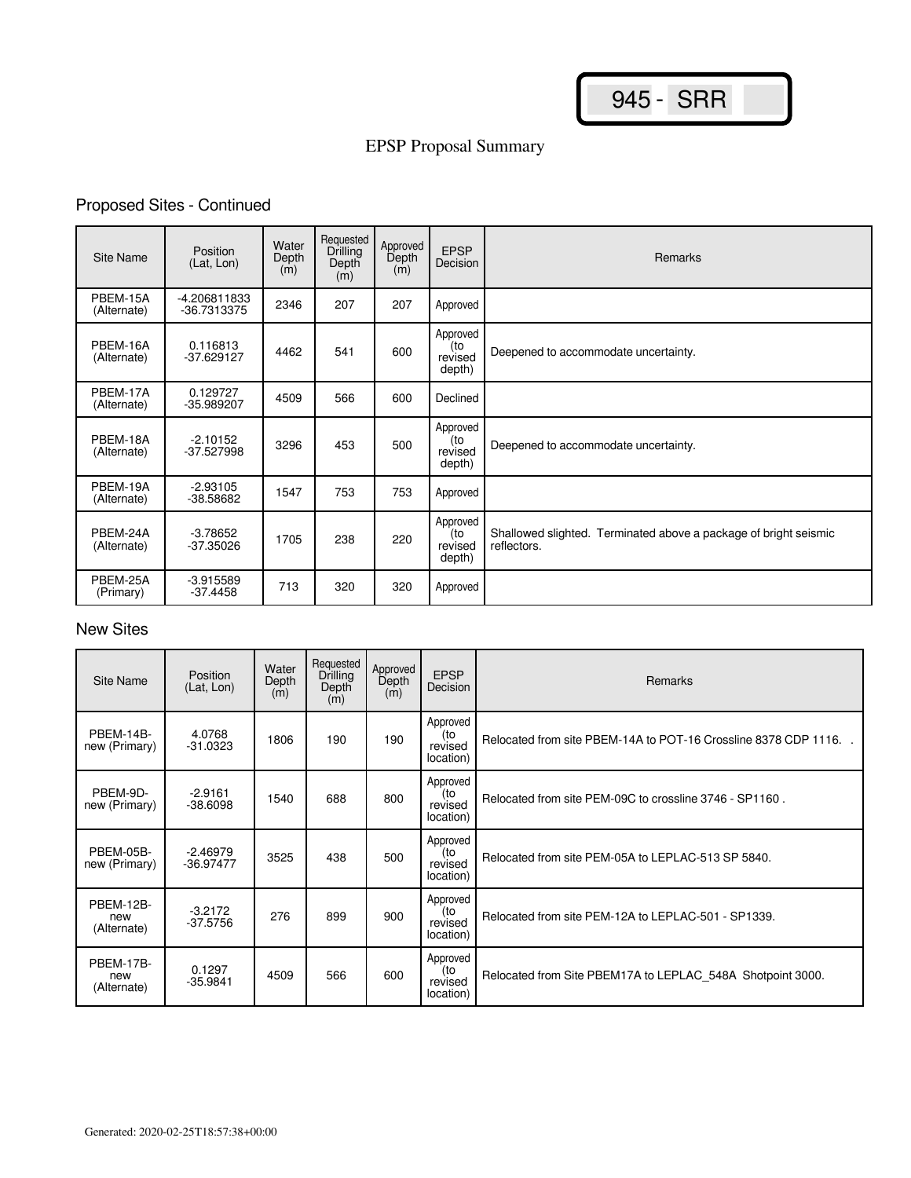# Proposed Sites - Continued

| Site Name               | Position<br>(Lat, Lon)      | Water<br>Depth<br>(m) | Requested<br><b>Drilling</b><br>Depth<br>(m) | Approved<br>Depth<br>(m) | <b>EPSP</b><br>Decision              | <b>Remarks</b>                                                                  |
|-------------------------|-----------------------------|-----------------------|----------------------------------------------|--------------------------|--------------------------------------|---------------------------------------------------------------------------------|
| PBEM-15A<br>(Alternate) | -4.206811833<br>-36.7313375 | 2346                  | 207                                          | 207                      | Approved                             |                                                                                 |
| PBEM-16A<br>(Alternate) | 0.116813<br>$-37.629127$    | 4462                  | 541                                          | 600                      | Approved<br>(to<br>revised<br>depth) | Deepened to accommodate uncertainty.                                            |
| PBEM-17A<br>(Alternate) | 0.129727<br>-35.989207      | 4509                  | 566                                          | 600                      | Declined                             |                                                                                 |
| PBEM-18A<br>(Alternate) | $-2.10152$<br>-37.527998    | 3296                  | 453                                          | 500                      | Approved<br>(to<br>revised<br>depth) | Deepened to accommodate uncertainty.                                            |
| PBEM-19A<br>(Alternate) | $-2.93105$<br>-38.58682     | 1547                  | 753                                          | 753                      | Approved                             |                                                                                 |
| PBEM-24A<br>(Alternate) | $-3.78652$<br>$-37.35026$   | 1705                  | 238                                          | 220                      | Approved<br>(to<br>revised<br>depth) | Shallowed slighted. Terminated above a package of bright seismic<br>reflectors. |
| PBEM-25A<br>(Primary)   | $-3.915589$<br>$-37.4458$   | 713                   | 320                                          | 320                      | Approved                             |                                                                                 |

| Site Name                       | <b>Position</b><br>(Lat, Lon) | Water<br>Depth<br>(m) | Requested<br>Drilling<br>Depth<br>(m) | Approved<br>Depth<br>(m) | <b>EPSP</b><br>Decision                 | Remarks                                                         |
|---------------------------------|-------------------------------|-----------------------|---------------------------------------|--------------------------|-----------------------------------------|-----------------------------------------------------------------|
| PBEM-14B-<br>new (Primary)      | 4.0768<br>$-31.0323$          | 1806                  | 190                                   | 190                      | Approved<br>(to<br>revised<br>location) | Relocated from site PBEM-14A to POT-16 Crossline 8378 CDP 1116. |
| PBEM-9D-<br>new (Primary)       | $-2.9161$<br>$-38.6098$       | 1540                  | 688                                   | 800                      | Approved<br>(to<br>revised<br>location) | Relocated from site PEM-09C to crossline 3746 - SP1160.         |
| PBEM-05B-<br>new (Primary)      | $-2.46979$<br>$-36.97477$     | 3525                  | 438                                   | 500                      | Approved<br>(to<br>revised<br>location) | Relocated from site PEM-05A to LEPLAC-513 SP 5840.              |
| PBEM-12B-<br>new<br>(Alternate) | $-3.2172$<br>$-37.5756$       | 276                   | 899                                   | 900                      | Approved<br>(to<br>revised<br>location) | Relocated from site PEM-12A to LEPLAC-501 - SP1339.             |
| PBEM-17B-<br>new<br>(Alternate) | 0.1297<br>$-35.9841$          | 4509                  | 566                                   | 600                      | Approved<br>(to<br>revised<br>location) | Relocated from Site PBEM17A to LEPLAC 548A Shotpoint 3000.      |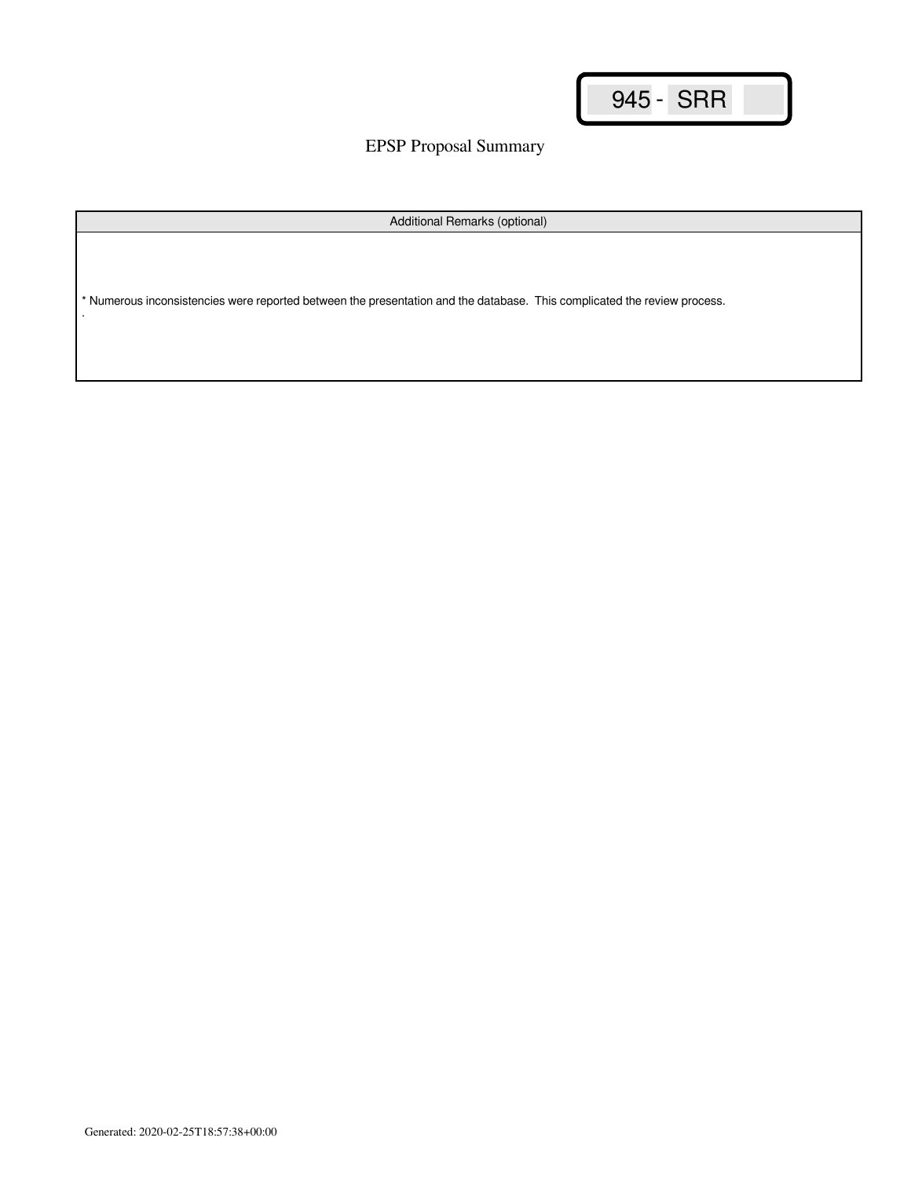EPSP Proposal Summary

Additional Remarks (optional)

\* Numerous inconsistencies were reported between the presentation and the database. This complicated the review process. .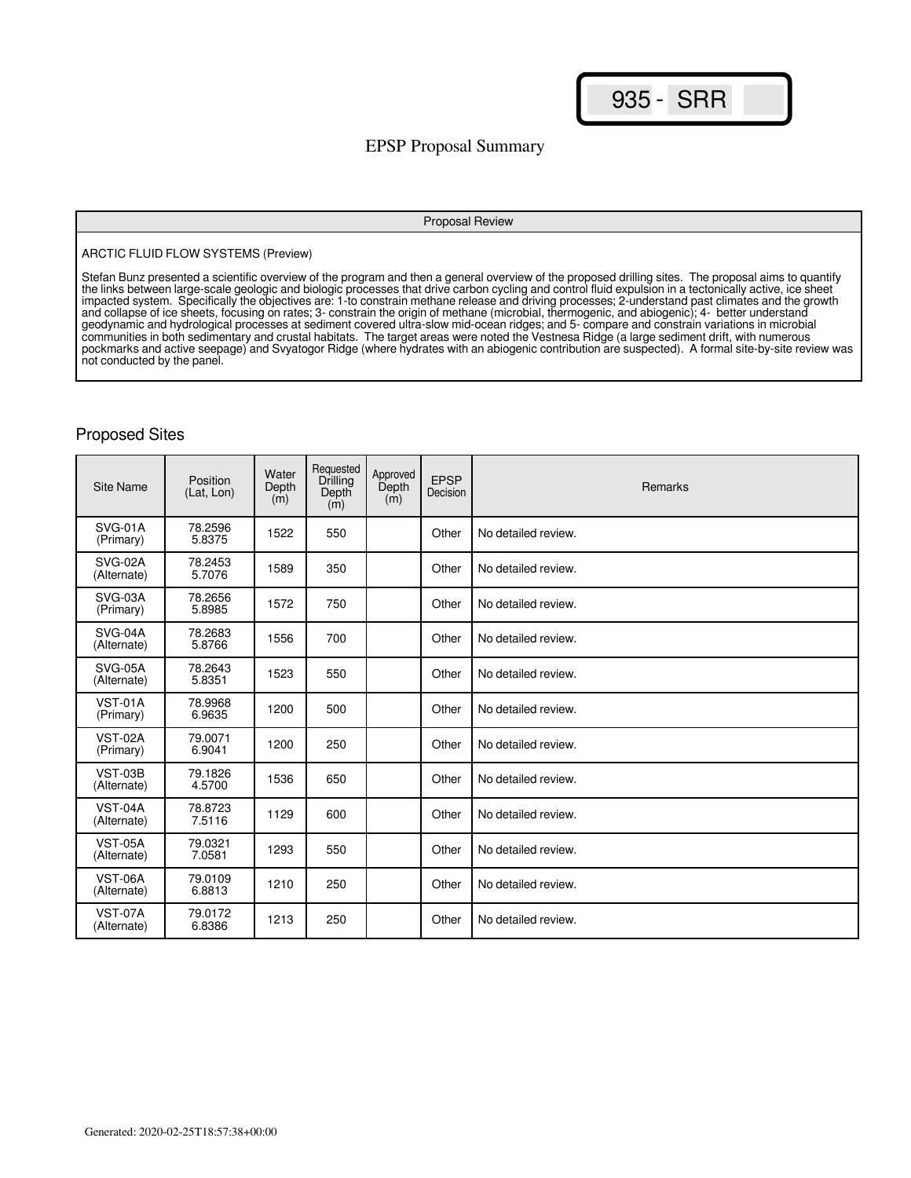## EPSP Proposal Summary

#### Proposal Review

#### ARCTIC FLUID FLOW SYSTEMS (Preview)

Stefan Bunz presented a scientific overview of the program and then a general overview of the proposed drilling sites. The proposal aims to quantify the links between large-scale geologic and biologic processes that drive carbon cycling and control fluid expulsion in a tectonically active, ice sheet impacted system. Specifically the objectives are: 1-to constrain methane release and driving processes; 2-understand past climates and the growth and collapse of ice sheets, focusing on rates; 3- constrain the origin of methane (microbial, thermogenic, and abiogenic); 4- better understand geodynamic and hydrological processes at sediment covered ultra-slow mid-ocean ridges; and 5- compare and constrain variations in microbial communities in both sedimentary and crustal habitats. The target areas were noted the Vestnesa Ridge (a large sediment drift, with numerous pockmarks and active seepage) and Svyatogor Ridge (where hydrates with an abiogenic contribution are suspected). A formal site-by-site review was not conducted by the panel.

| <b>Site Name</b>              | Position<br>(Lat, Lon) | Water<br>Depth<br>(m) | Requested<br>Drilling<br>Depth<br>(m) | Approved<br>Depth<br>(m) | <b>EPSP</b><br>Decision | Remarks             |
|-------------------------------|------------------------|-----------------------|---------------------------------------|--------------------------|-------------------------|---------------------|
| SVG-01A<br>(Primary)          | 78.2596<br>5.8375      | 1522                  | 550                                   |                          | Other                   | No detailed review. |
| SVG-02A<br>(Alternate)        | 78.2453<br>5.7076      | 1589                  | 350                                   |                          | Other                   | No detailed review. |
| SVG-03A<br>(Primary)          | 78.2656<br>5.8985      | 1572                  | 750                                   |                          | Other                   | No detailed review. |
| SVG-04A<br>(Alternate)        | 78.2683<br>5.8766      | 1556                  | 700                                   |                          | Other                   | No detailed review. |
| SVG-05A<br>(Alternate)        | 78.2643<br>5.8351      | 1523                  | 550                                   |                          | Other                   | No detailed review. |
| <b>VST-01A</b><br>(Primary)   | 78.9968<br>6.9635      | 1200                  | 500                                   |                          | Other                   | No detailed review. |
| VST-02A<br>(Primary)          | 79.0071<br>6.9041      | 1200                  | 250                                   |                          | Other                   | No detailed review. |
| <b>VST-03B</b><br>(Alternate) | 79.1826<br>4.5700      | 1536                  | 650                                   |                          | Other                   | No detailed review. |
| <b>VST-04A</b><br>(Alternate) | 78.8723<br>7.5116      | 1129                  | 600                                   |                          | Other                   | No detailed review. |
| <b>VST-05A</b><br>(Alternate) | 79.0321<br>7.0581      | 1293                  | 550                                   |                          | Other                   | No detailed review. |
| <b>VST-06A</b><br>(Alternate) | 79.0109<br>6.8813      | 1210                  | 250                                   |                          | Other                   | No detailed review. |
| <b>VST-07A</b><br>(Alternate) | 79.0172<br>6.8386      | 1213                  | 250                                   |                          | Other                   | No detailed review. |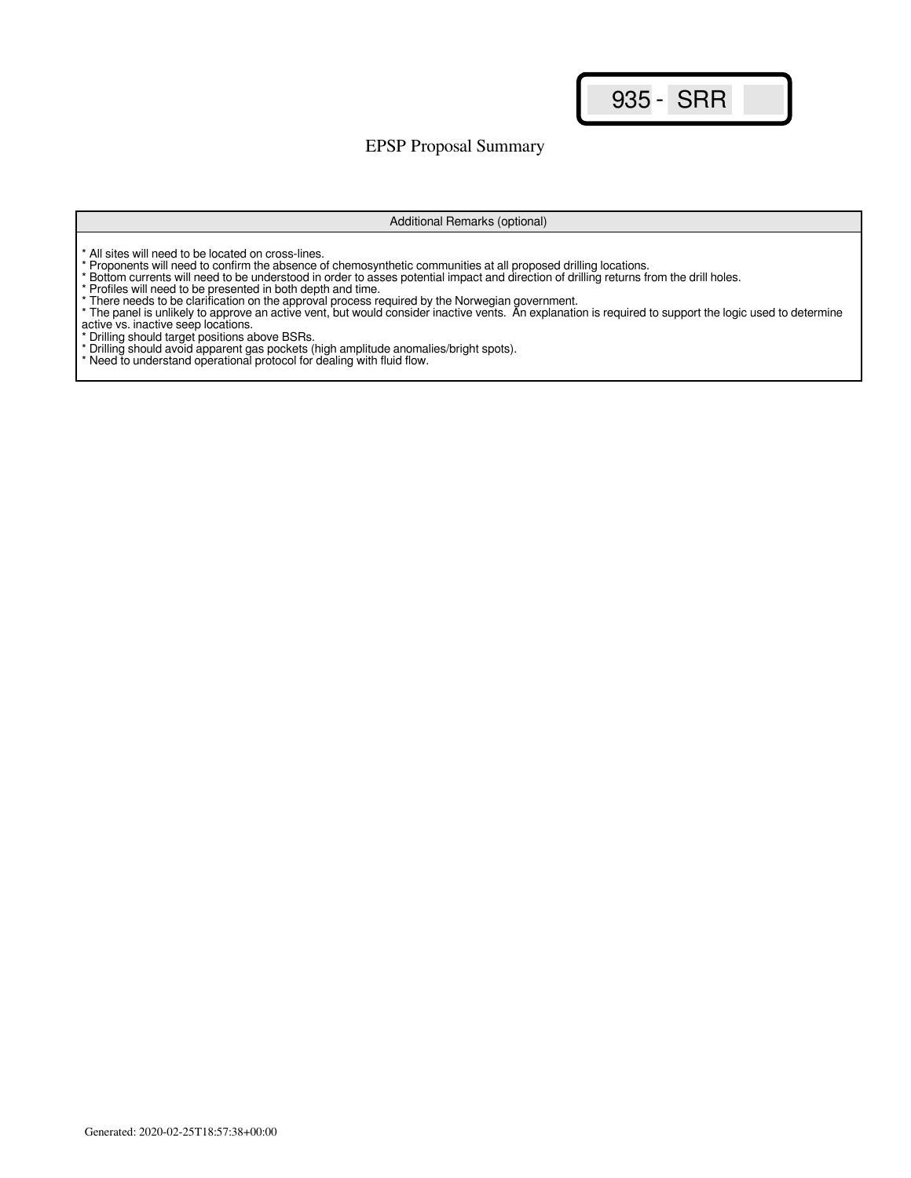EPSP Proposal Summary

#### Additional Remarks (optional)

\* All sites will need to be located on cross-lines.

\* Proponents will need to confirm the absence of chemosynthetic communities at all proposed drilling locations.

- \* Bottom currents will need to be understood in order to asses potential impact and direction of drilling returns from the drill holes.
- \* Profiles will need to be presented in both depth and time.
- \* There needs to be clarification on the approval process required by the Norwegian government.
- \* The panel is unlikely to approve an active vent, but would consider inactive vents. An explanation is required to support the logic used to determine active vs. inactive seep locations.
- \* Drilling should target positions above BSRs.
- \* Drilling should avoid apparent gas pockets (high amplitude anomalies/bright spots).

\* Need to understand operational protocol for dealing with fluid flow.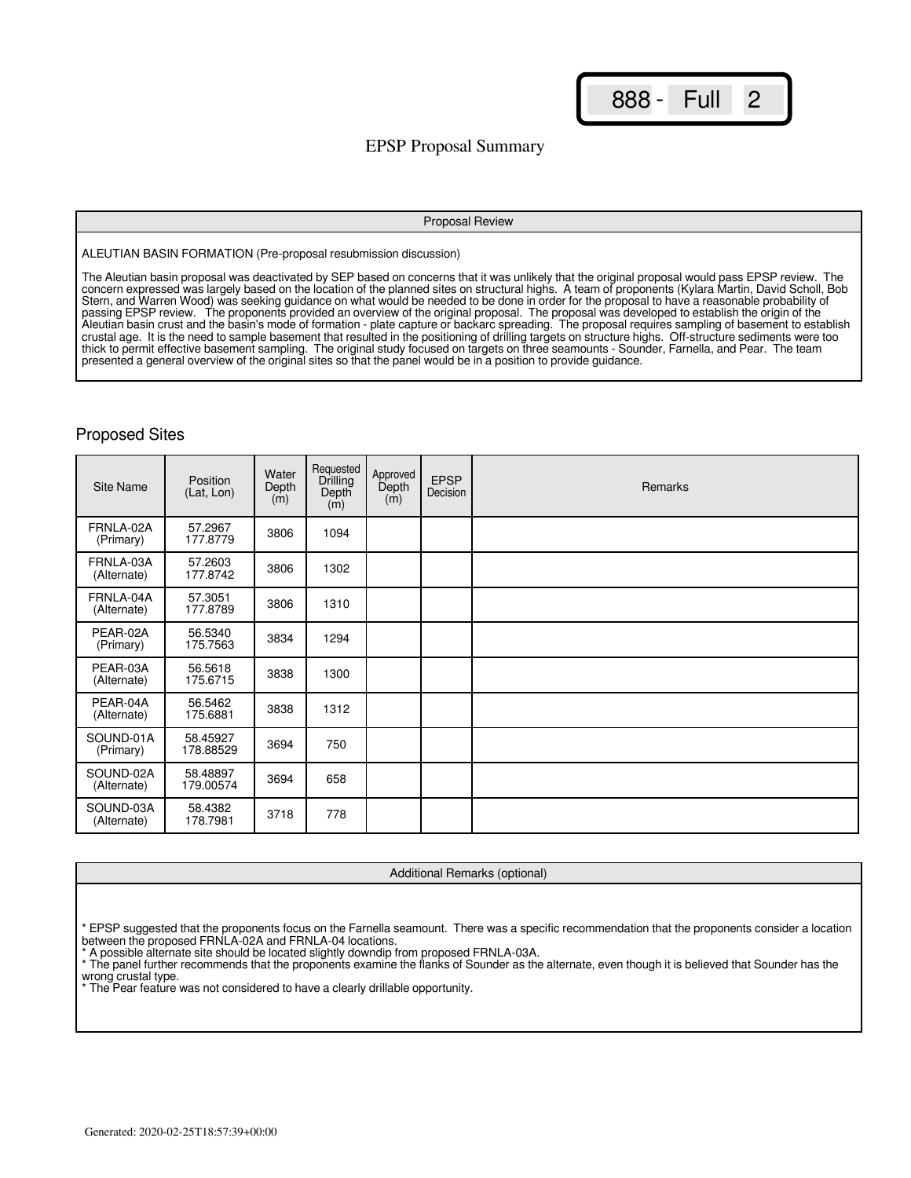888 - Full 2

## EPSP Proposal Summary

#### Proposal Review

ALEUTIAN BASIN FORMATION (Pre-proposal resubmission discussion)

The Aleutian basin proposal was deactivated by SEP based on concerns that it was unlikely that the original proposal would pass EPSP review. The concern expressed was largely based on the location of the planned sites on structural highs. A team of proponents (Kylara Martin, David Scholl, Bob Stern, and Warren Wood) was seeking guidance on what would be needed to be done in order for the proposal to have a reasonable probability of passing EPSP review. The proponents provided an overview of the original proposal. The proposal was developed to establish the origin of the Aleutian basin crust and the basin's mode of formation - plate capture or backarc spreading. The proposal requires sampling of basement to establish crustal age. It is the need to sample basement that resulted in the positioning of drilling targets on structure highs. Off-structure sediments were too thick to permit effective basement sampling. The original study focused on targets on three seamounts - Sounder, Farnella, and Pear. The team presented a general overview of the original sites so that the panel would be in a position to provide guidance.

### Proposed Sites

| <b>Site Name</b>         | Position<br>(Lat, Lon) | Water<br>Depth<br>(m) | Requested<br>Drilling<br>Depth<br>(m) | Approved<br>Depth<br>(m) | <b>EPSP</b><br>Decision | Remarks |
|--------------------------|------------------------|-----------------------|---------------------------------------|--------------------------|-------------------------|---------|
| FRNLA-02A<br>(Primary)   | 57.2967<br>177.8779    | 3806                  | 1094                                  |                          |                         |         |
| FRNLA-03A<br>(Alternate) | 57.2603<br>177.8742    | 3806                  | 1302                                  |                          |                         |         |
| FRNLA-04A<br>(Alternate) | 57.3051<br>177.8789    | 3806                  | 1310                                  |                          |                         |         |
| PEAR-02A<br>(Primary)    | 56.5340<br>175.7563    | 3834                  | 1294                                  |                          |                         |         |
| PEAR-03A<br>(Alternate)  | 56.5618<br>175.6715    | 3838                  | 1300                                  |                          |                         |         |
| PEAR-04A<br>(Alternate)  | 56.5462<br>175.6881    | 3838                  | 1312                                  |                          |                         |         |
| SOUND-01A<br>(Primary)   | 58.45927<br>178.88529  | 3694                  | 750                                   |                          |                         |         |
| SOUND-02A<br>(Alternate) | 58.48897<br>179.00574  | 3694                  | 658                                   |                          |                         |         |
| SOUND-03A<br>(Alternate) | 58.4382<br>178.7981    | 3718                  | 778                                   |                          |                         |         |

Additional Remarks (optional)

\* A possible alternate site should be located slightly downdip from proposed FRNLA-03A.

<sup>\*</sup> EPSP suggested that the proponents focus on the Farnella seamount. There was a specific recommendation that the proponents consider a location between the proposed FRNLA-02A and FRNLA-04 locations.

<sup>\*</sup> The panel further recommends that the proponents examine the flanks of Sounder as the alternate, even though it is believed that Sounder has the wrong crustal type. \* The Pear feature was not considered to have a clearly drillable opportunity.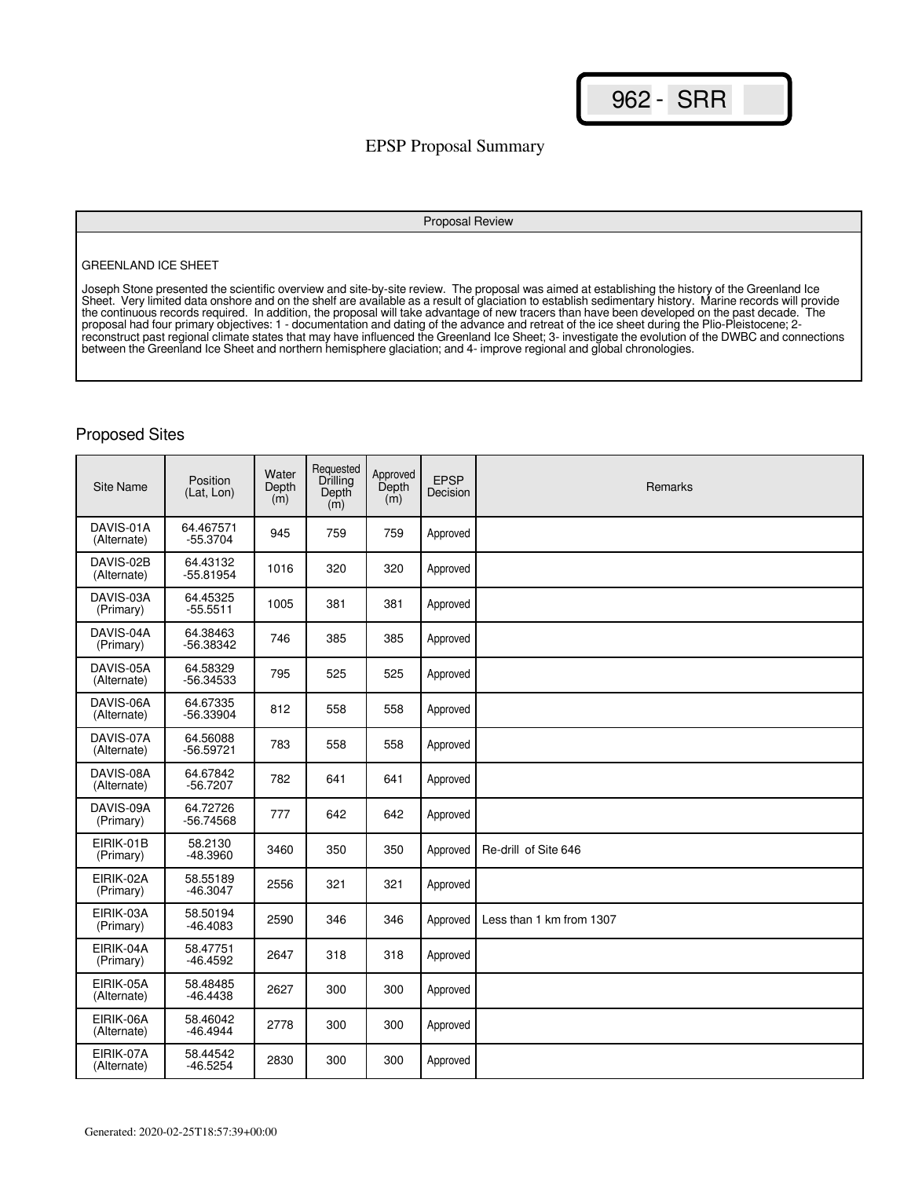## EPSP Proposal Summary

#### Proposal Review

#### GREENLAND ICE SHEET

Joseph Stone presented the scientific overview and site-by-site review. The proposal was aimed at establishing the history of the Greenland Ice Sheet. Very limited data onshore and on the shelf are available as a result of glaciation to establish sedimentary history. Marine records will provide the continuous records required. In addition, the proposal will take advantage of new tracers than have been developed on the past decade. The proposal had four primary objectives: 1 - documentation and dating of the advance and retreat of the ice sheet during the Plio-Pleistocene; 2 reconstruct past regional climate states that may have influenced the Greenland Ice Sheet; 3- investigate the evolution of the DWBC and connections between the Greenland Ice Sheet and northern hemisphere glaciation; and 4- improve regional and global chronologies.

| Site Name                | Position<br>(Lat, Lon)  | Water<br>Depth<br>$\dot{m}$ ) | Requested<br>Drilling<br>Depth<br>(m) | Approved<br>Depth<br>(m) | <b>EPSP</b><br>Decision | Remarks                  |
|--------------------------|-------------------------|-------------------------------|---------------------------------------|--------------------------|-------------------------|--------------------------|
| DAVIS-01A<br>(Alternate) | 64.467571<br>$-55.3704$ | 945                           | 759                                   | 759                      | Approved                |                          |
| DAVIS-02B<br>(Alternate) | 64.43132<br>$-55.81954$ | 1016                          | 320                                   | 320                      | Approved                |                          |
| DAVIS-03A<br>(Primary)   | 64.45325<br>$-55.5511$  | 1005                          | 381                                   | 381                      | Approved                |                          |
| DAVIS-04A<br>(Primary)   | 64.38463<br>$-56.38342$ | 746                           | 385                                   | 385                      | Approved                |                          |
| DAVIS-05A<br>(Alternate) | 64.58329<br>$-56.34533$ | 795                           | 525                                   | 525                      | Approved                |                          |
| DAVIS-06A<br>(Alternate) | 64.67335<br>$-56.33904$ | 812                           | 558                                   | 558                      | Approved                |                          |
| DAVIS-07A<br>(Alternate) | 64.56088<br>$-56.59721$ | 783                           | 558                                   | 558                      | Approved                |                          |
| DAVIS-08A<br>(Alternate) | 64.67842<br>$-56.7207$  | 782                           | 641                                   | 641                      | Approved                |                          |
| DAVIS-09A<br>(Primary)   | 64.72726<br>$-56.74568$ | 777                           | 642                                   | 642                      | Approved                |                          |
| EIRIK-01B<br>(Primary)   | 58.2130<br>$-48.3960$   | 3460                          | 350                                   | 350                      | Approved                | Re-drill of Site 646     |
| EIRIK-02A<br>(Primary)   | 58.55189<br>$-46.3047$  | 2556                          | 321                                   | 321                      | Approved                |                          |
| EIRIK-03A<br>(Primary)   | 58.50194<br>$-46.4083$  | 2590                          | 346                                   | 346                      | Approved                | Less than 1 km from 1307 |
| EIRIK-04A<br>(Primary)   | 58.47751<br>$-46.4592$  | 2647                          | 318                                   | 318                      | Approved                |                          |
| EIRIK-05A<br>(Alternate) | 58.48485<br>$-46.4438$  | 2627                          | 300                                   | 300                      | Approved                |                          |
| EIRIK-06A<br>(Alternate) | 58.46042<br>$-46.4944$  | 2778                          | 300                                   | 300                      | Approved                |                          |
| EIRIK-07A<br>(Alternate) | 58.44542<br>$-46.5254$  | 2830                          | 300                                   | 300                      | Approved                |                          |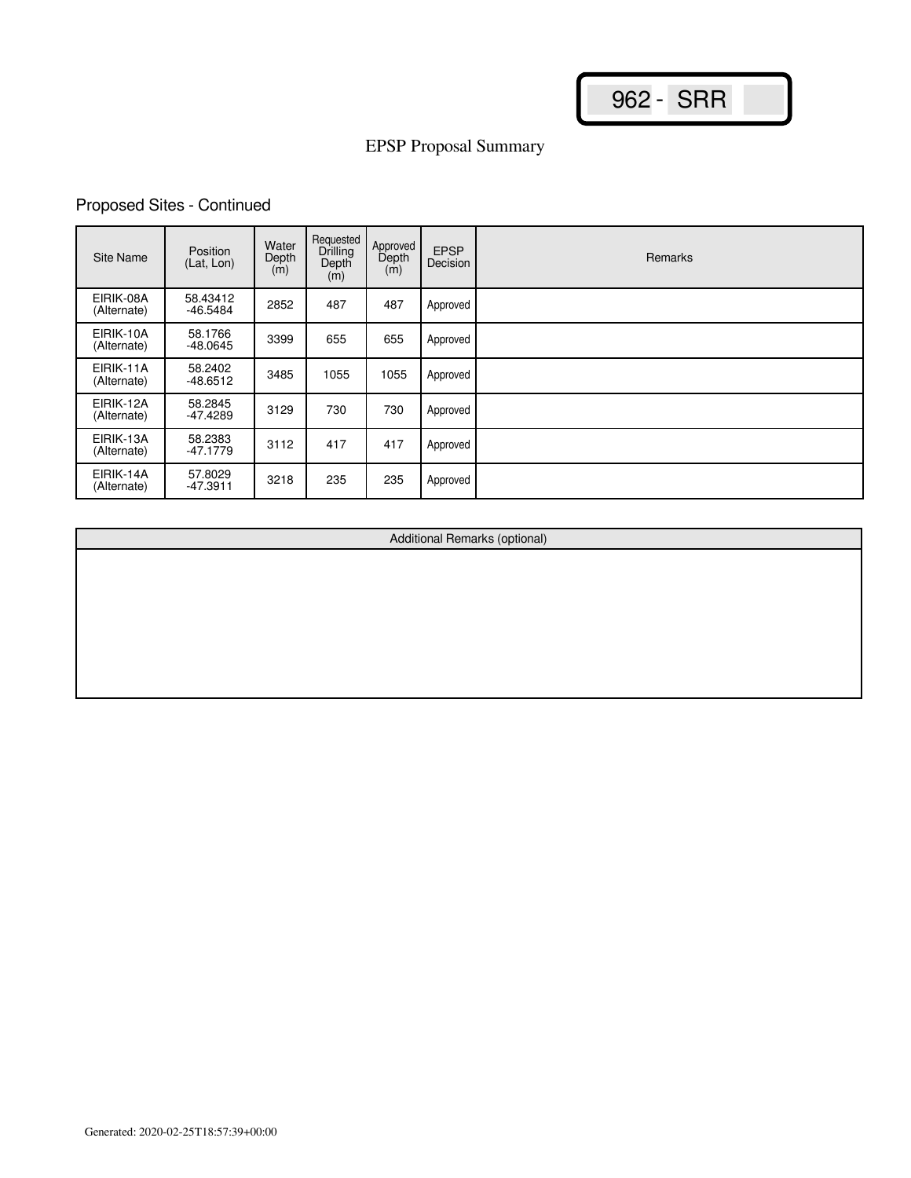# Proposed Sites - Continued

| Site Name                | Position<br>(Lat, Lon) | Water<br>Depth<br>(m) | Requested<br>Drilling<br>Depth<br>(m) | Approved<br>Depth<br>(m) | <b>EPSP</b><br>Decision | <b>Remarks</b> |
|--------------------------|------------------------|-----------------------|---------------------------------------|--------------------------|-------------------------|----------------|
| EIRIK-08A<br>(Alternate) | 58.43412<br>$-46.5484$ | 2852                  | 487                                   | 487                      | Approved                |                |
| EIRIK-10A<br>(Alternate) | 58.1766<br>$-48.0645$  | 3399                  | 655                                   | 655                      | Approved                |                |
| EIRIK-11A<br>(Alternate) | 58.2402<br>$-48.6512$  | 3485                  | 1055                                  | 1055                     | Approved                |                |
| EIRIK-12A<br>(Alternate) | 58.2845<br>-47.4289    | 3129                  | 730                                   | 730                      | Approved                |                |
| EIRIK-13A<br>(Alternate) | 58.2383<br>$-47.1779$  | 3112                  | 417                                   | 417                      | Approved                |                |
| EIRIK-14A<br>(Alternate) | 57.8029<br>$-47.3911$  | 3218                  | 235                                   | 235                      | Approved                |                |

Additional Remarks (optional)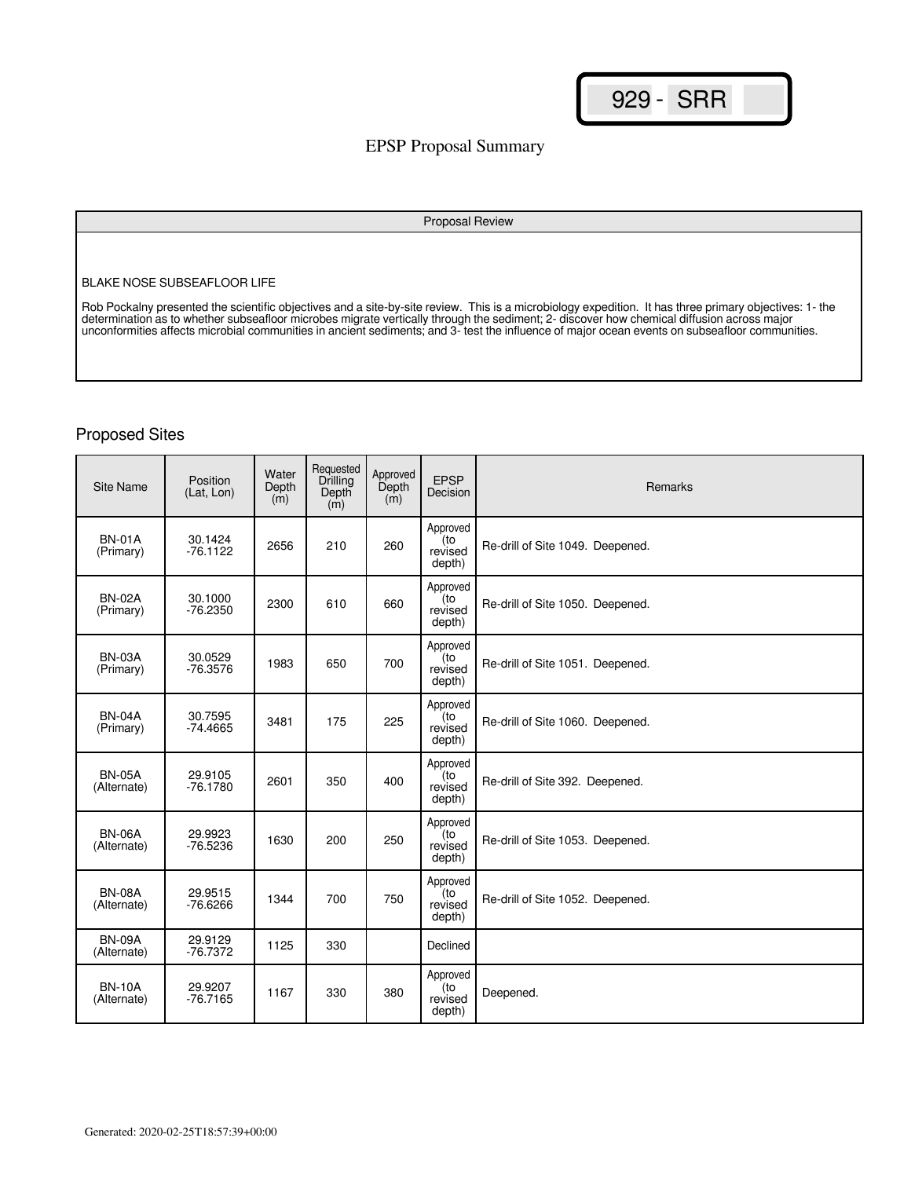## EPSP Proposal Summary

#### Proposal Review

#### BLAKE NOSE SUBSEAFLOOR LIFE

Rob Pockalny presented the scientific objectives and a site-by-site review. This is a microbiology expedition. It has three primary objectives: 1- the determination as to whether subseafloor microbes migrate vertically through the sediment; 2- discover how chemical diffusion across major unconformities affects microbial communities in ancient sediments; and 3- test the influence of major ocean events on subseafloor communities.

| <b>Site Name</b>             | Position<br>(Lat, Lon) | Water<br>Depth<br>(m) | Requested<br>Drilling<br>Depth<br>(m) | Approved<br>Depth<br>(m) | <b>EPSP</b><br>Decision              | Remarks                          |
|------------------------------|------------------------|-----------------------|---------------------------------------|--------------------------|--------------------------------------|----------------------------------|
| <b>BN-01A</b><br>(Primary)   | 30.1424<br>$-76.1122$  | 2656                  | 210                                   | 260                      | Approved<br>(to<br>revised<br>depth) | Re-drill of Site 1049. Deepened. |
| <b>BN-02A</b><br>(Primary)   | 30.1000<br>$-76.2350$  | 2300                  | 610                                   | 660                      | Approved<br>(to<br>revised<br>depth) | Re-drill of Site 1050. Deepened. |
| <b>BN-03A</b><br>(Primary)   | 30.0529<br>$-76.3576$  | 1983                  | 650                                   | 700                      | Approved<br>(to<br>revised<br>depth) | Re-drill of Site 1051. Deepened. |
| <b>BN-04A</b><br>(Primary)   | 30.7595<br>$-74.4665$  | 3481                  | 175                                   | 225                      | Approved<br>(to<br>revised<br>depth) | Re-drill of Site 1060. Deepened. |
| <b>BN-05A</b><br>(Alternate) | 29.9105<br>$-76.1780$  | 2601                  | 350                                   | 400                      | Approved<br>(to<br>revised<br>depth) | Re-drill of Site 392. Deepened.  |
| <b>BN-06A</b><br>(Alternate) | 29.9923<br>$-76.5236$  | 1630                  | 200                                   | 250                      | Approved<br>to)<br>revised<br>depth) | Re-drill of Site 1053. Deepened. |
| <b>BN-08A</b><br>(Alternate) | 29.9515<br>$-76.6266$  | 1344                  | 700                                   | 750                      | Approved<br>(to<br>revised<br>depth) | Re-drill of Site 1052. Deepened. |
| <b>BN-09A</b><br>(Alternate) | 29.9129<br>$-76.7372$  | 1125                  | 330                                   |                          | Declined                             |                                  |
| <b>BN-10A</b><br>(Alternate) | 29.9207<br>$-76.7165$  | 1167                  | 330                                   | 380                      | Approved<br>(to<br>revised<br>depth) | Deepened.                        |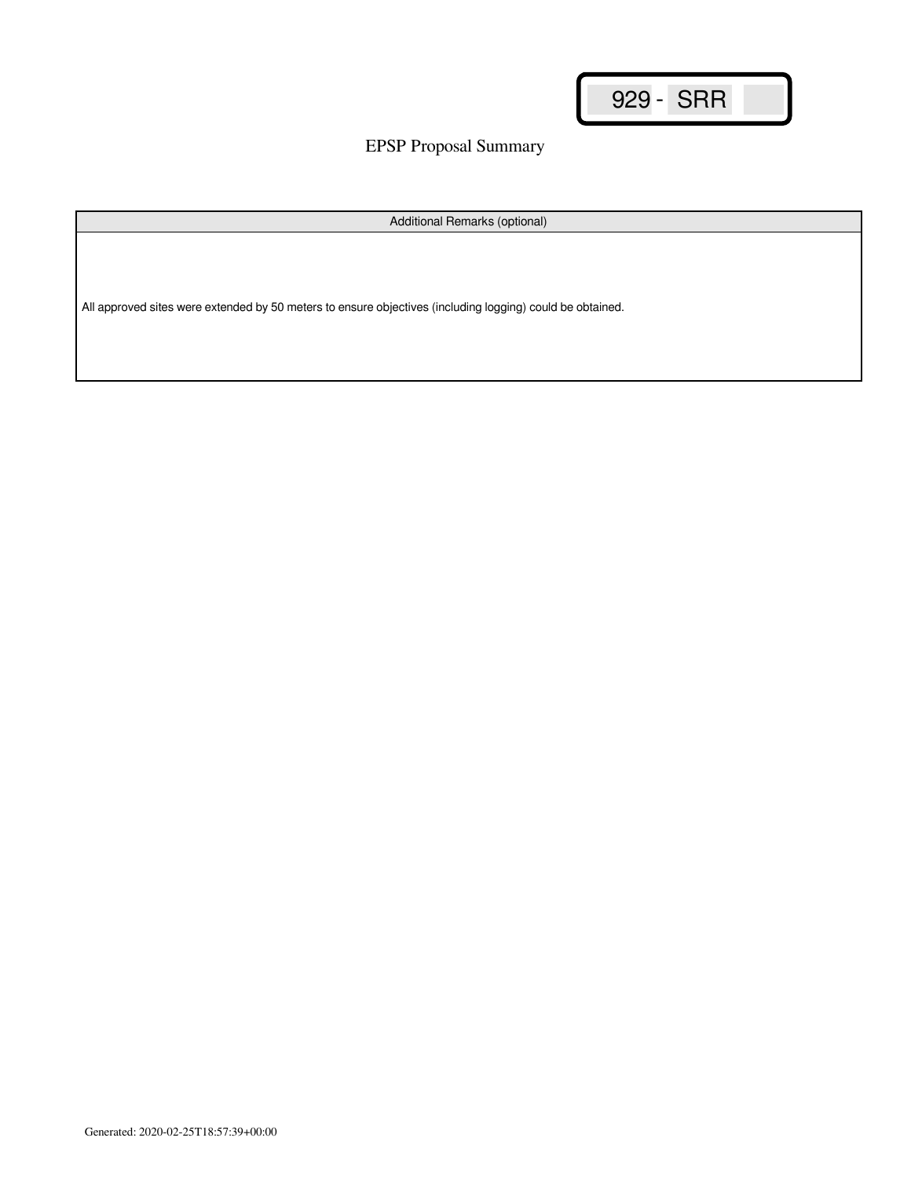EPSP Proposal Summary

Additional Remarks (optional)

All approved sites were extended by 50 meters to ensure objectives (including logging) could be obtained.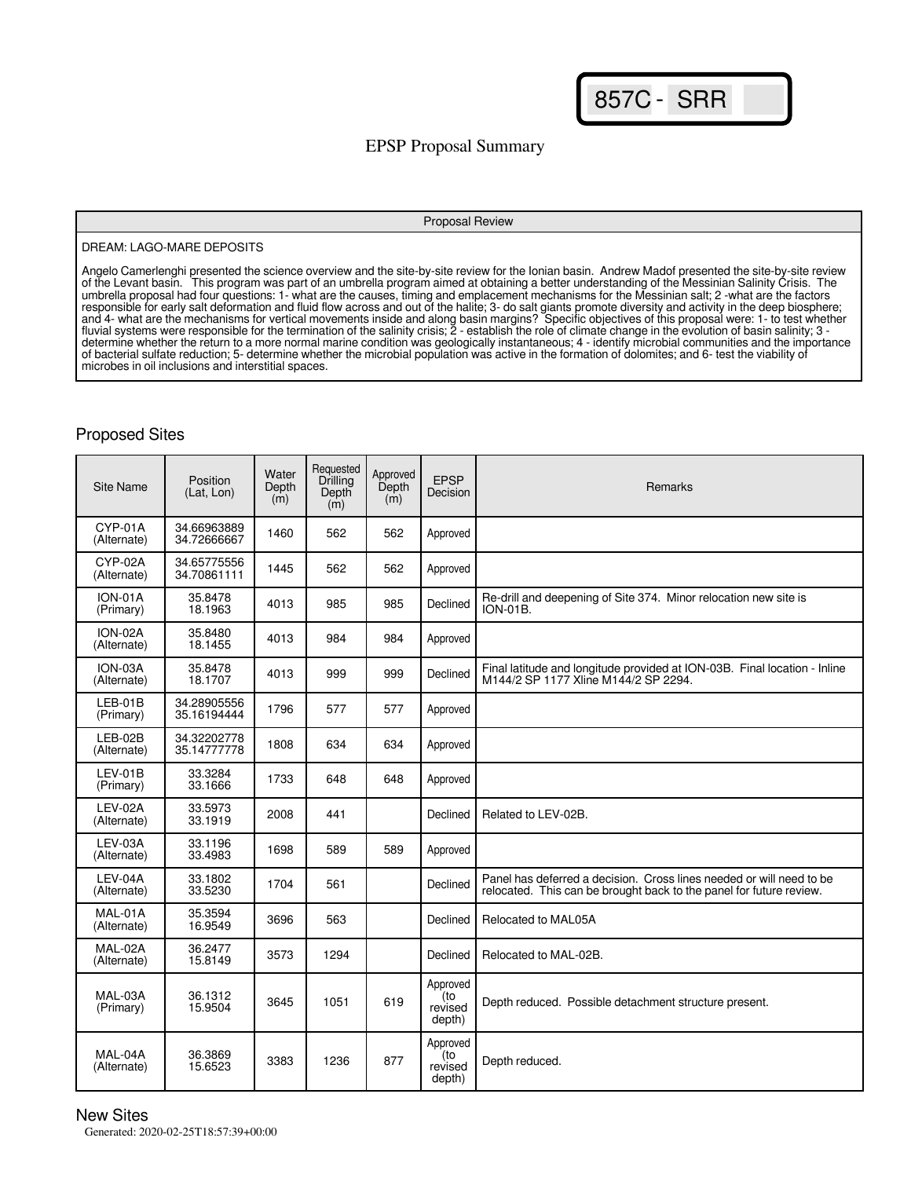857C - SRR

## EPSP Proposal Summary

#### Proposal Review

#### DREAM: LAGO-MARE DEPOSITS

Angelo Camerlenghi presented the science overview and the site-by-site review for the Ionian basin. Andrew Madof presented the site-by-site review of the Levant basin. This program was part of an umbrella program aimed at obtaining a better understanding of the Messinian Salinity Crisis. The umbrella proposal had four questions: 1- what are the causes, timing and emplacement mechanisms for the Messinian salt; 2 -what are the factors responsible for early salt deformation and fluid flow across and out of the halite; 3- do salt giants promote diversity and activity in the deep biosphere; and 4- what are the mechanisms for vertical movements inside and along basin margins? Specific objectives of this proposal were: 1- to test whether fluvial systems were responsible for the termination of the salinity crisis; 2 - establish the role of climate change in the evolution of basin salinity; 3 determine whether the return to a more normal marine condition was geologically instantaneous; 4 - identify microbial communities and the importance of bacterial sulfate reduction; 5- determine whether the microbial population was active in the formation of dolomites; and 6- test the viability of microbes in oil inclusions and interstitial spaces.

### Proposed Sites

| Site Name                   | Position<br>(Lat. Lon)     | Water<br>Depth<br>$\dot{m}$ | Requested<br>Drilling<br>Depth<br>(m) | Approved<br>Depth<br>(m) | <b>EPSP</b><br>Decision              | <b>Remarks</b>                                                                                                                              |
|-----------------------------|----------------------------|-----------------------------|---------------------------------------|--------------------------|--------------------------------------|---------------------------------------------------------------------------------------------------------------------------------------------|
| CYP-01A<br>(Alternate)      | 34.66963889<br>34.72666667 | 1460                        | 562                                   | 562                      | Approved                             |                                                                                                                                             |
| CYP-02A<br>(Alternate)      | 34.65775556<br>34.70861111 | 1445                        | 562                                   | 562                      | Approved                             |                                                                                                                                             |
| <b>ION-01A</b><br>(Primary) | 35.8478<br>18.1963         | 4013                        | 985                                   | 985                      | Declined                             | Re-drill and deepening of Site 374. Minor relocation new site is<br><b>ION-01B.</b>                                                         |
| ION-02A<br>(Alternate)      | 35.8480<br>18.1455         | 4013                        | 984                                   | 984                      | Approved                             |                                                                                                                                             |
| ION-03A<br>(Alternate)      | 35.8478<br>18.1707         | 4013                        | 999                                   | 999                      | Declined                             | Final latitude and longitude provided at ION-03B. Final location - Inline<br>M144/2 SP 1177 Xline M144/2 SP 2294.                           |
| $LEB-01B$<br>(Primary)      | 34.28905556<br>35.16194444 | 1796                        | 577                                   | 577                      | Approved                             |                                                                                                                                             |
| LEB-02B<br>(Alternate)      | 34.32202778<br>35.14777778 | 1808                        | 634                                   | 634                      | Approved                             |                                                                                                                                             |
| LEV-01B<br>(Primary)        | 33.3284<br>33.1666         | 1733                        | 648                                   | 648                      | Approved                             |                                                                                                                                             |
| LEV-02A<br>(Alternate)      | 33.5973<br>33.1919         | 2008                        | 441                                   |                          | Declined                             | Related to LEV-02B.                                                                                                                         |
| LEV-03A<br>(Alternate)      | 33.1196<br>33.4983         | 1698                        | 589                                   | 589                      | Approved                             |                                                                                                                                             |
| LEV-04A<br>(Alternate)      | 33.1802<br>33.5230         | 1704                        | 561                                   |                          | Declined                             | Panel has deferred a decision. Cross lines needed or will need to be<br>relocated. This can be brought back to the panel for future review. |
| MAL-01A<br>(Alternate)      | 35.3594<br>16.9549         | 3696                        | 563                                   |                          | Declined                             | Relocated to MAL05A                                                                                                                         |
| MAL-02A<br>(Alternate)      | 36.2477<br>15.8149         | 3573                        | 1294                                  |                          | Declined                             | Relocated to MAL-02B.                                                                                                                       |
| MAL-03A<br>(Primary)        | 36.1312<br>15.9504         | 3645                        | 1051                                  | 619                      | Approved<br>(to<br>revised<br>depth) | Depth reduced. Possible detachment structure present.                                                                                       |
| MAL-04A<br>(Alternate)      | 36.3869<br>15.6523         | 3383                        | 1236                                  | 877                      | Approved<br>(to<br>revised<br>depth) | Depth reduced.                                                                                                                              |

### New Sites

Generated: 2020-02-25T18:57:39+00:00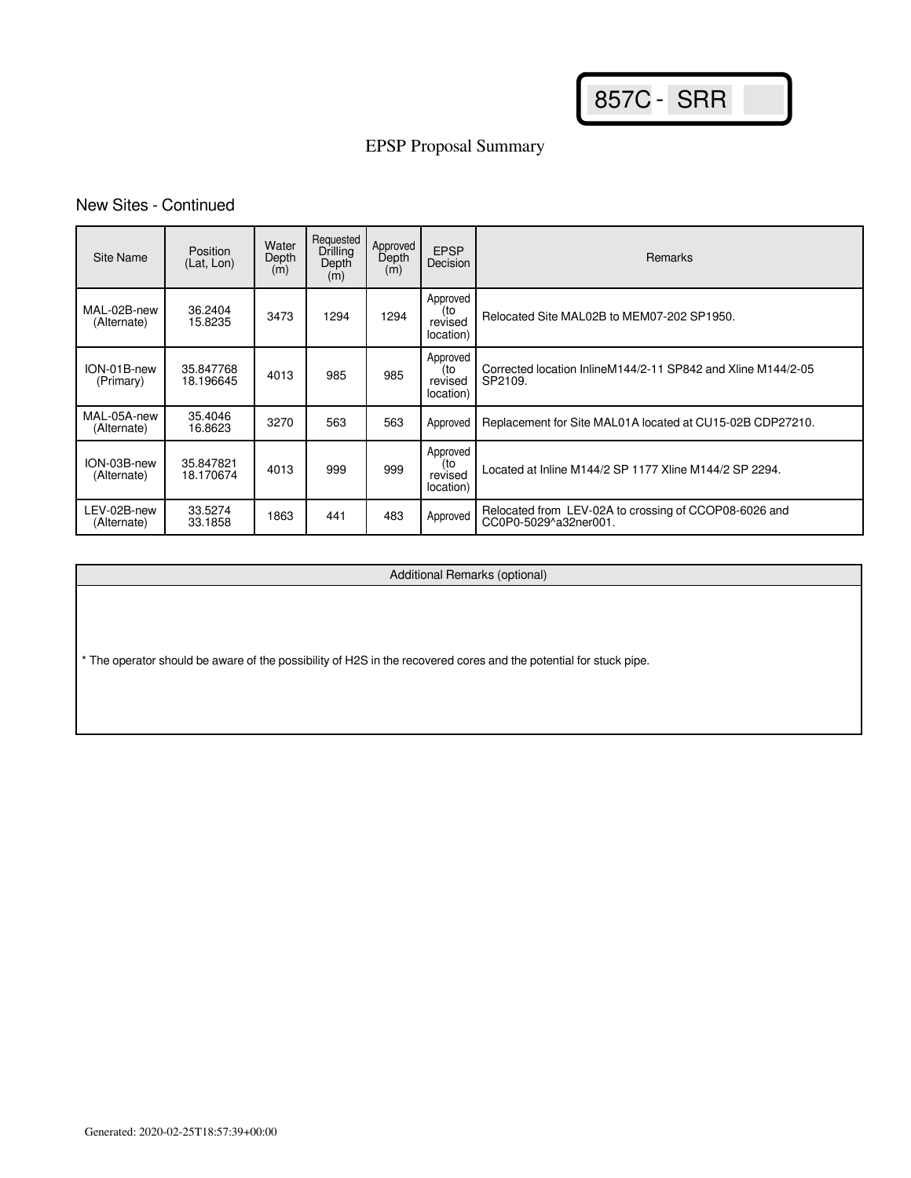857C - SRR

# EPSP Proposal Summary

## New Sites - Continued

| Site Name                  | Position<br>(Lat. Lon) | Water<br>Depth<br>(m) | Requested<br>Drilling<br>Depth<br>(m) | Approved<br>Depth<br>(m) | <b>EPSP</b><br>Decision                 | Remarks                                                                        |
|----------------------------|------------------------|-----------------------|---------------------------------------|--------------------------|-----------------------------------------|--------------------------------------------------------------------------------|
| MAL-02B-new<br>(Alternate) | 36.2404<br>15.8235     | 3473                  | 1294                                  | 1294                     | Approved<br>(to<br>revised<br>location) | Relocated Site MAL02B to MEM07-202 SP1950.                                     |
| ION-01B-new<br>(Primary)   | 35.847768<br>18.196645 | 4013                  | 985                                   | 985                      | Approved<br>(to<br>revised<br>location) | Corrected location InlineM144/2-11 SP842 and Xline M144/2-05<br>SP2109.        |
| MAL-05A-new<br>(Alternate) | 35.4046<br>16.8623     | 3270                  | 563                                   | 563                      | Approved                                | Replacement for Site MAL01A located at CU15-02B CDP27210.                      |
| ION-03B-new<br>(Alternate) | 35.847821<br>18.170674 | 4013                  | 999                                   | 999                      | Approved<br>(to<br>revised<br>location) | Located at Inline M144/2 SP 1177 Xline M144/2 SP 2294.                         |
| LEV-02B-new<br>(Alternate) | 33.5274<br>33.1858     | 1863                  | 441                                   | 483                      | Approved                                | Relocated from LEV-02A to crossing of CCOP08-6026 and<br>CC0P0-5029^a32ner001. |

Additional Remarks (optional)

\* The operator should be aware of the possibility of H2S in the recovered cores and the potential for stuck pipe.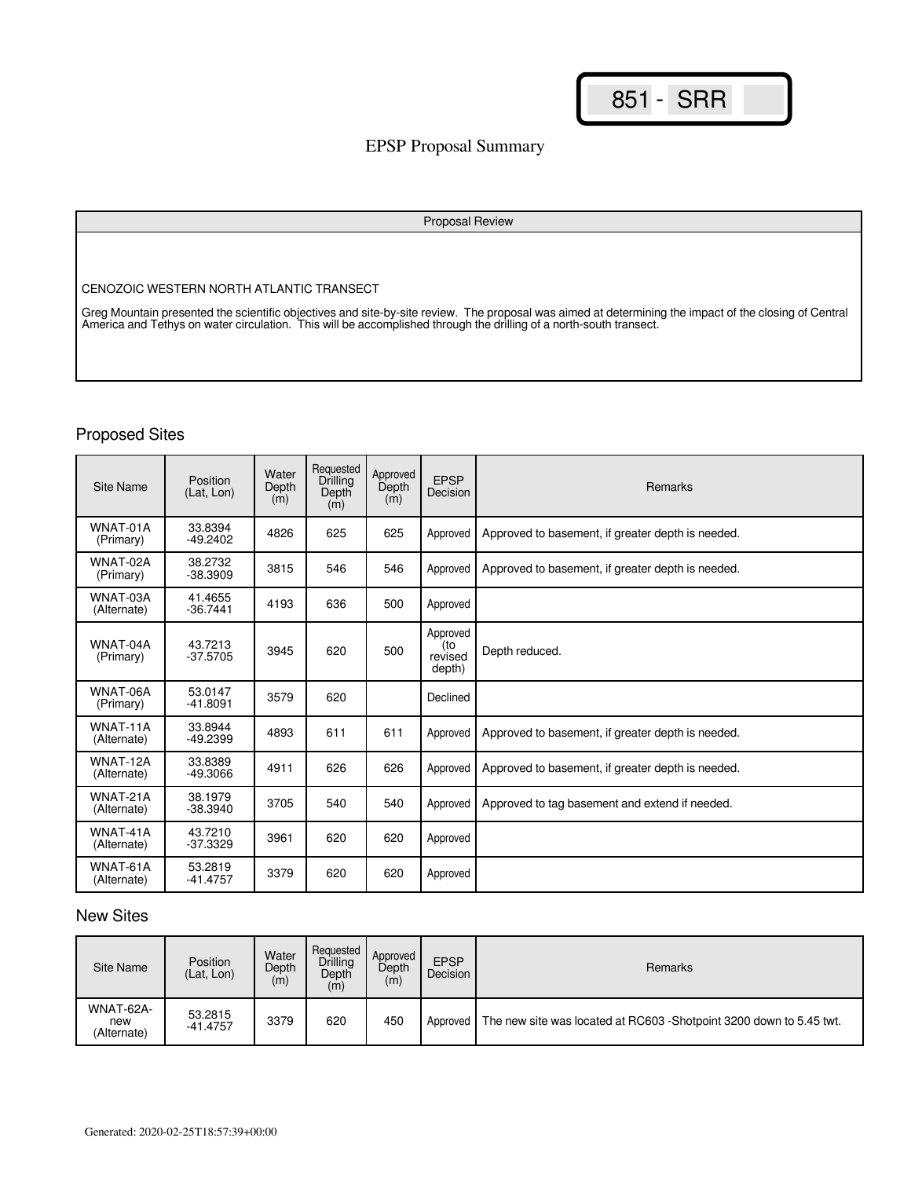## EPSP Proposal Summary

#### Proposal Review

CENOZOIC WESTERN NORTH ATLANTIC TRANSECT

Greg Mountain presented the scientific objectives and site-by-site review. The proposal was aimed at determining the impact of the closing of Central America and Tethys on water circulation. This will be accomplished through the drilling of a north-south transect.

## Proposed Sites

| <b>Site Name</b>        | Position<br>(Lat. Lon) | Water<br>Depth<br>(m) | Requested<br>Drilling<br>Depth<br>(m) | Approved<br>Depth<br>(m) | <b>EPSP</b><br>Decision              | <b>Remarks</b>                                    |
|-------------------------|------------------------|-----------------------|---------------------------------------|--------------------------|--------------------------------------|---------------------------------------------------|
| WNAT-01A<br>(Primary)   | 33.8394<br>$-49.2402$  | 4826                  | 625                                   | 625                      | Approved                             | Approved to basement, if greater depth is needed. |
| WNAT-02A<br>(Primary)   | 38.2732<br>$-38.3909$  | 3815                  | 546                                   | 546                      | Approved                             | Approved to basement, if greater depth is needed. |
| WNAT-03A<br>(Alternate) | 41.4655<br>$-36.7441$  | 4193                  | 636                                   | 500                      | Approved                             |                                                   |
| WNAT-04A<br>(Primary)   | 43.7213<br>$-37.5705$  | 3945                  | 620                                   | 500                      | Approved<br>(to<br>revised<br>depth) | Depth reduced.                                    |
| WNAT-06A<br>(Primary)   | 53.0147<br>$-41.8091$  | 3579                  | 620                                   |                          | Declined                             |                                                   |
| WNAT-11A<br>(Alternate) | 33.8944<br>$-49.2399$  | 4893                  | 611                                   | 611                      | Approved                             | Approved to basement, if greater depth is needed. |
| WNAT-12A<br>(Alternate) | 33.8389<br>-49.3066    | 4911                  | 626                                   | 626                      | Approved                             | Approved to basement, if greater depth is needed. |
| WNAT-21A<br>(Alternate) | 38.1979<br>$-38.3940$  | 3705                  | 540                                   | 540                      | Approved                             | Approved to tag basement and extend if needed.    |
| WNAT-41A<br>(Alternate) | 43.7210<br>$-37.3329$  | 3961                  | 620                                   | 620                      | Approved                             |                                                   |
| WNAT-61A<br>(Alternate) | 53.2819<br>$-41.4757$  | 3379                  | 620                                   | 620                      | Approved                             |                                                   |

| Site Name                       | Position<br>(Lat. Lon) | Water<br>Depth<br>(m) | Reauested<br>Drilling<br>Depth<br>(m) | Approved<br>Depth<br>(m) | <b>EPSP</b><br>Decision | Remarks                                                             |
|---------------------------------|------------------------|-----------------------|---------------------------------------|--------------------------|-------------------------|---------------------------------------------------------------------|
| WNAT-62A-<br>new<br>(Alternate) | 53.2815<br>$-41.4757$  | 3379                  | 620                                   | 450                      | Approved I              | The new site was located at RC603 -Shotpoint 3200 down to 5.45 twt. |